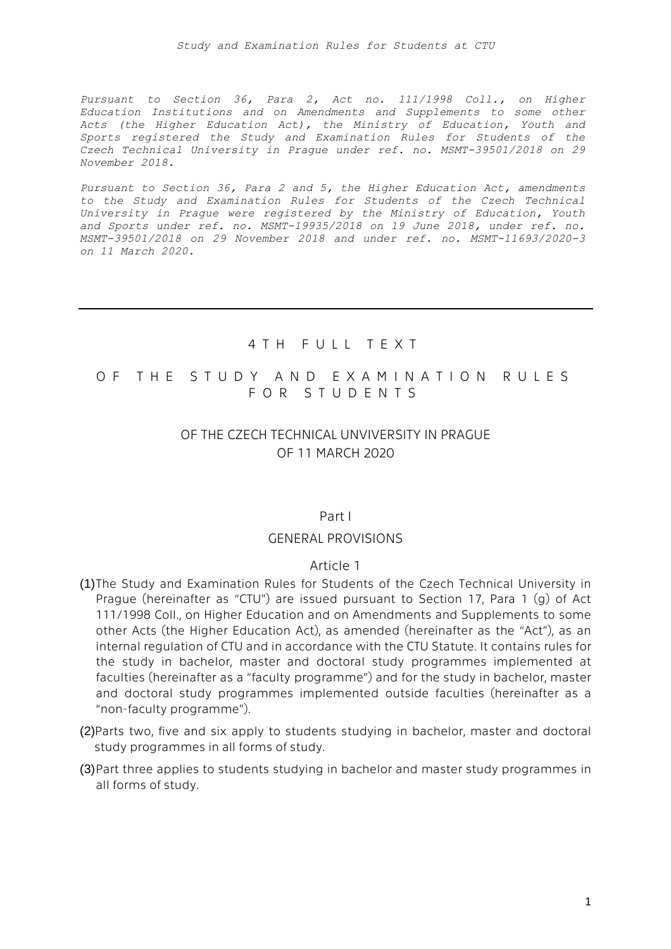*Pursuant to Section 36, Para 2, Act no. 111/1998 Coll., on Higher Education Institutions and on Amendments and Supplements to some other Acts (the Higher Education Act), the Ministry of Education, Youth and Sports registered the Study and Examination Rules for Students of the Czech Technical University in Prague under ref. no. MSMT-39501/2018 on 29 November 2018.*

*Pursuant to Section 36, Para 2 and 5, the Higher Education Act, amendments to the Study and Examination Rules for Students of the Czech Technical University in Prague were registered by the Ministry of Education, Youth and Sports under ref. no. MSMT-19935/2018 on 19 June 2018, under ref. no. MSMT-39501/2018 on 29 November 2018 and under ref. no. MSMT-11693/2020-3 on 11 March 2020.*

### 4 T H F U L L T E X T

# O F THE STUDY AND EXAMINATION RULES F O R S T U D E N T S

# OF THE CZECH TECHNICAL UNVIVERSITY IN PRAGUE OF 11 MARCH 2020

#### Part I

#### GENERAL PROVISIONS

#### Article 1

- (1)The Study and Examination Rules for Students of the Czech Technical University in Prague (hereinafter as "CTU") are issued pursuant to Section 17, Para 1 (g) of Act 111/1998 Coll., on Higher Education and on Amendments and Supplements to some other Acts (the Higher Education Act), as amended (hereinafter as the "Act"), as an internal regulation of CTU and in accordance with the CTU Statute. It contains rules for the study in bachelor, master and doctoral study programmes implemented at faculties (hereinafter as a "faculty programme") and for the study in bachelor, master and doctoral study programmes implemented outside faculties (hereinafter as a "non-faculty programme").
- (2)Parts two, five and six apply to students studying in bachelor, master and doctoral study programmes in all forms of study.
- (3)Part three applies to students studying in bachelor and master study programmes in all forms of study.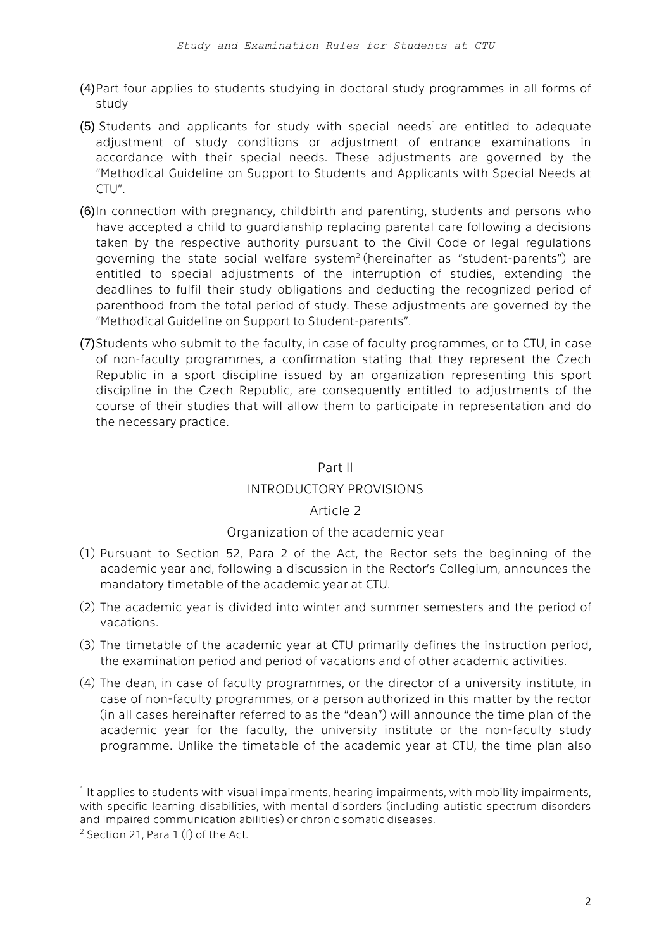- (4)Part four applies to students studying in doctoral study programmes in all forms of study
- (5) Students and applicants for study with special needs<sup>1</sup> are entitled to adequate adjustment of study conditions or adjustment of entrance examinations in accordance with their special needs. These adjustments are governed by the "Methodical Guideline on Support to Students and Applicants with Special Needs at CTU".
- (6)In connection with pregnancy, childbirth and parenting, students and persons who have accepted a child to guardianship replacing parental care following a decisions taken by the respective authority pursuant to the Civil Code or legal regulations governing the state social welfare system<sup>2</sup> (hereinafter as "student-parents") are entitled to special adjustments of the interruption of studies, extending the deadlines to fulfil their study obligations and deducting the recognized period of parenthood from the total period of study. These adjustments are governed by the "Methodical Guideline on Support to Student-parents".
- (7)Students who submit to the faculty, in case of faculty programmes, or to CTU, in case of non-faculty programmes, a confirmation stating that they represent the Czech Republic in a sport discipline issued by an organization representing this sport discipline in the Czech Republic, are consequently entitled to adjustments of the course of their studies that will allow them to participate in representation and do the necessary practice.

### Part II

# INTRODUCTORY PROVISIONS

# Article 2

# Organization of the academic year

- (1) Pursuant to Section 52, Para 2 of the Act, the Rector sets the beginning of the academic year and, following a discussion in the Rector's Collegium, announces the mandatory timetable of the academic year at CTU.
- (2) The academic year is divided into winter and summer semesters and the period of vacations.
- (3) The timetable of the academic year at CTU primarily defines the instruction period, the examination period and period of vacations and of other academic activities.
- (4) The dean, in case of faculty programmes, or the director of a university institute, in case of non-faculty programmes, or a person authorized in this matter by the rector (in all cases hereinafter referred to as the "dean") will announce the time plan of the academic year for the faculty, the university institute or the non-faculty study programme. Unlike the timetable of the academic year at CTU, the time plan also

1

<sup>&</sup>lt;sup>1</sup> It applies to students with visual impairments, hearing impairments, with mobility impairments, with specific learning disabilities, with mental disorders (including autistic spectrum disorders and impaired communication abilities) or chronic somatic diseases.

 $2$  Section 21, Para 1 (f) of the Act.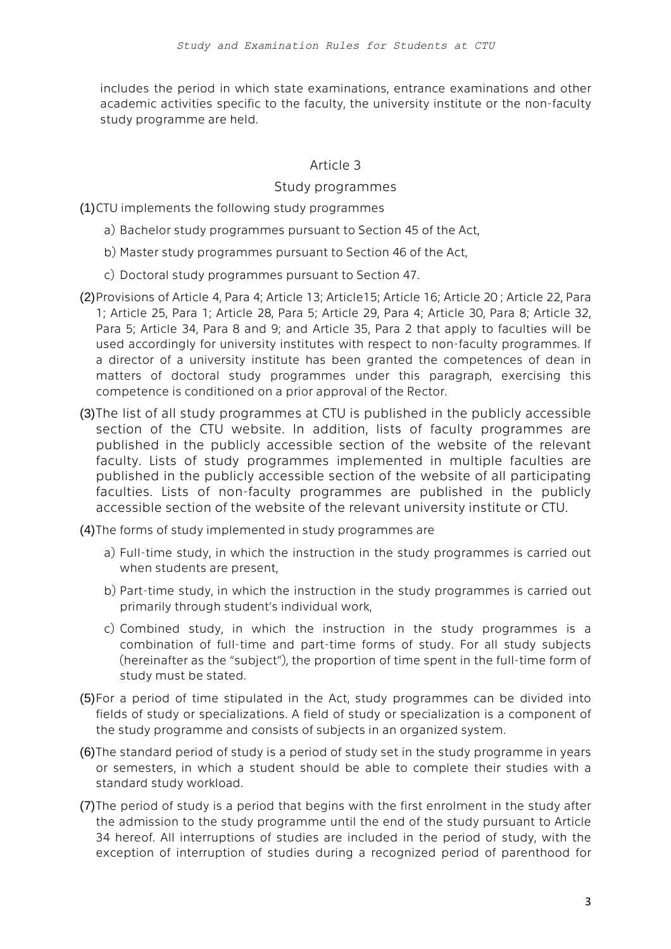includes the period in which state examinations, entrance examinations and other academic activities specific to the faculty, the university institute or the non-faculty study programme are held.

# Article 3

### Study programmes

(1)CTU implements the following study programmes

- a) Bachelor study programmes pursuant to Section 45 of the Act,
- b) Master study programmes pursuant to Section 46 of the Act,
- c) Doctoral study programmes pursuant to Section 47.
- (2)Provisions of Article 4, Para 4; Article 13; Article15; Article 16; Article 20 ; Article 22, Para 1; Article 25, Para 1; Article 28, Para 5; Article 29, Para 4; Article 30, Para 8; Article 32, Para 5; Article 34, Para 8 and 9; and Article 35, Para 2 that apply to faculties will be used accordingly for university institutes with respect to non-faculty programmes. If a director of a university institute has been granted the competences of dean in matters of doctoral study programmes under this paragraph, exercising this competence is conditioned on a prior approval of the Rector.
- (3)The list of all study programmes at CTU is published in the publicly accessible section of the CTU website. In addition, lists of faculty programmes are published in the publicly accessible section of the website of the relevant faculty. Lists of study programmes implemented in multiple faculties are published in the publicly accessible section of the website of all participating faculties. Lists of non-faculty programmes are published in the publicly accessible section of the website of the relevant university institute or CTU.

(4)The forms of study implemented in study programmes are

- a) Full-time study, in which the instruction in the study programmes is carried out when students are present,
- b) Part-time study, in which the instruction in the study programmes is carried out primarily through student's individual work,
- c) Combined study, in which the instruction in the study programmes is a combination of full-time and part-time forms of study. For all study subjects (hereinafter as the "subject"), the proportion of time spent in the full-time form of study must be stated.
- (5)For a period of time stipulated in the Act, study programmes can be divided into fields of study or specializations. A field of study or specialization is a component of the study programme and consists of subjects in an organized system.
- (6)The standard period of study is a period of study set in the study programme in years or semesters, in which a student should be able to complete their studies with a standard study workload.
- (7)The period of study is a period that begins with the first enrolment in the study after the admission to the study programme until the end of the study pursuant to Article 34 hereof. All interruptions of studies are included in the period of study, with the exception of interruption of studies during a recognized period of parenthood for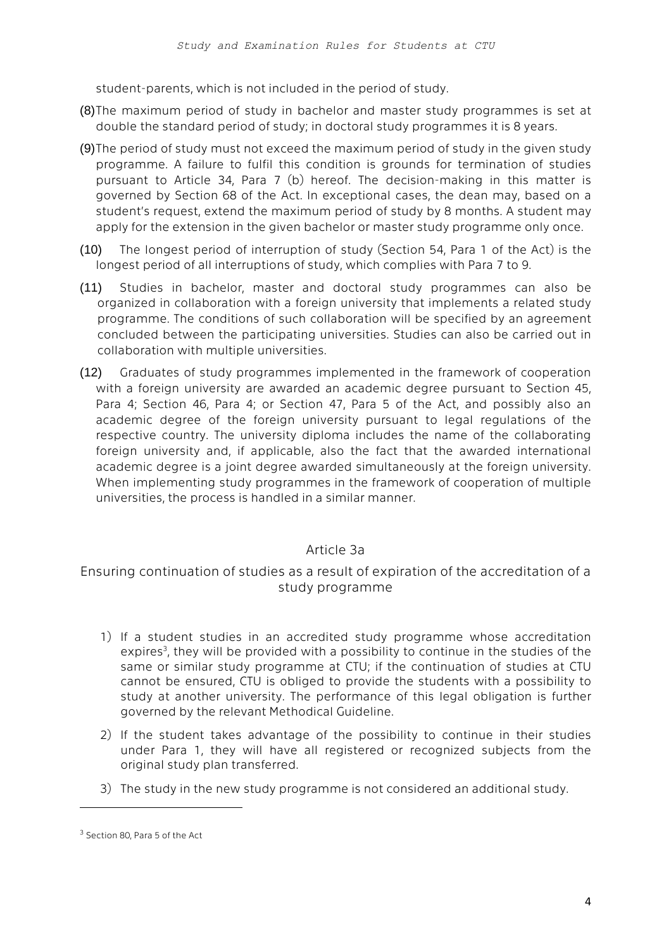student-parents, which is not included in the period of study.

- (8)The maximum period of study in bachelor and master study programmes is set at double the standard period of study; in doctoral study programmes it is 8 years.
- (9)The period of study must not exceed the maximum period of study in the given study programme. A failure to fulfil this condition is grounds for termination of studies pursuant to Article 34, Para 7 (b) hereof. The decision-making in this matter is governed by Section 68 of the Act. In exceptional cases, the dean may, based on a student's request, extend the maximum period of study by 8 months. A student may apply for the extension in the given bachelor or master study programme only once.
- (10) The longest period of interruption of study (Section 54, Para 1 of the Act) is the longest period of all interruptions of study, which complies with Para 7 to 9.
- (11) Studies in bachelor, master and doctoral study programmes can also be organized in collaboration with a foreign university that implements a related study programme. The conditions of such collaboration will be specified by an agreement concluded between the participating universities. Studies can also be carried out in collaboration with multiple universities.
- (12) Graduates of study programmes implemented in the framework of cooperation with a foreign university are awarded an academic degree pursuant to Section 45, Para 4; Section 46, Para 4; or Section 47, Para 5 of the Act, and possibly also an academic degree of the foreign university pursuant to legal regulations of the respective country. The university diploma includes the name of the collaborating foreign university and, if applicable, also the fact that the awarded international academic degree is a joint degree awarded simultaneously at the foreign university. When implementing study programmes in the framework of cooperation of multiple universities, the process is handled in a similar manner.

# Article 3a

Ensuring continuation of studies as a result of expiration of the accreditation of a study programme

- 1) If a student studies in an accredited study programme whose accreditation expires<sup>3</sup>, they will be provided with a possibility to continue in the studies of the same or similar study programme at CTU; if the continuation of studies at CTU cannot be ensured, CTU is obliged to provide the students with a possibility to study at another university. The performance of this legal obligation is further governed by the relevant Methodical Guideline.
- 2) If the student takes advantage of the possibility to continue in their studies under Para 1, they will have all registered or recognized subjects from the original study plan transferred.
- 3) The study in the new study programme is not considered an additional study.

 $\overline{a}$ 

<sup>&</sup>lt;sup>3</sup> Section 80, Para 5 of the Act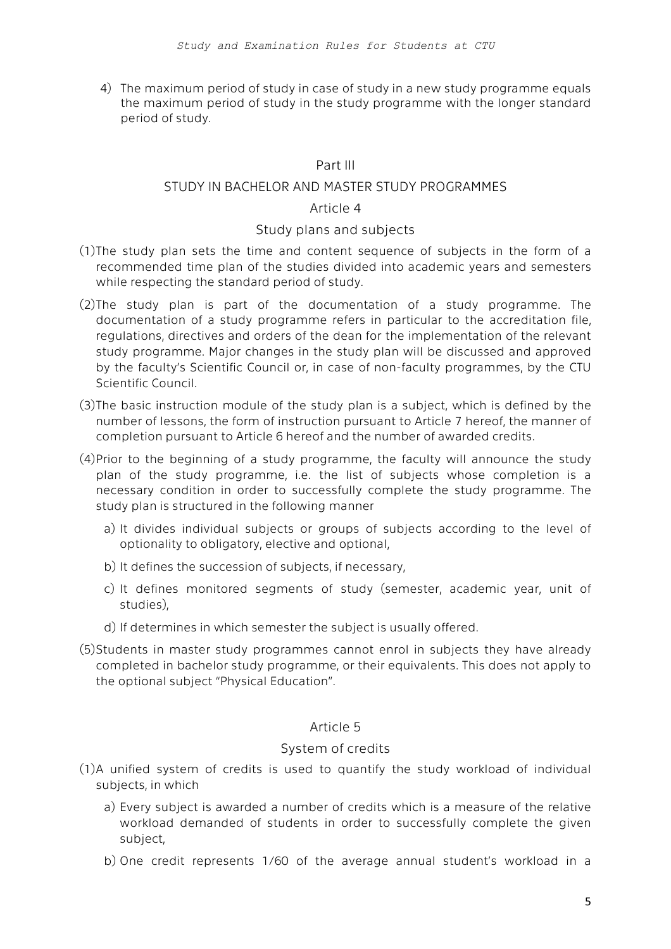4) The maximum period of study in case of study in a new study programme equals the maximum period of study in the study programme with the longer standard period of study.

# Part III

### STUDY IN BACHELOR AND MASTER STUDY PROGRAMMES

#### Article 4

#### Study plans and subjects

- (1)The study plan sets the time and content sequence of subjects in the form of a recommended time plan of the studies divided into academic years and semesters while respecting the standard period of study.
- (2)The study plan is part of the documentation of a study programme. The documentation of a study programme refers in particular to the accreditation file, regulations, directives and orders of the dean for the implementation of the relevant study programme. Major changes in the study plan will be discussed and approved by the faculty's Scientific Council or, in case of non-faculty programmes, by the CTU Scientific Council.
- (3)The basic instruction module of the study plan is a subject, which is defined by the number of lessons, the form of instruction pursuant to Article 7 hereof, the manner of completion pursuant to Article 6 hereof and the number of awarded credits.
- (4)Prior to the beginning of a study programme, the faculty will announce the study plan of the study programme, i.e. the list of subjects whose completion is a necessary condition in order to successfully complete the study programme. The study plan is structured in the following manner
	- a) It divides individual subjects or groups of subjects according to the level of optionality to obligatory, elective and optional,
	- b) It defines the succession of subjects, if necessary,
	- c) It defines monitored segments of study (semester, academic year, unit of studies),
	- d) If determines in which semester the subject is usually offered.
- (5)Students in master study programmes cannot enrol in subjects they have already completed in bachelor study programme, or their equivalents. This does not apply to the optional subject "Physical Education".

#### Article 5

#### System of credits

- (1)A unified system of credits is used to quantify the study workload of individual subjects, in which
	- a) Every subject is awarded a number of credits which is a measure of the relative workload demanded of students in order to successfully complete the given subject,
	- b) One credit represents 1/60 of the average annual student's workload in a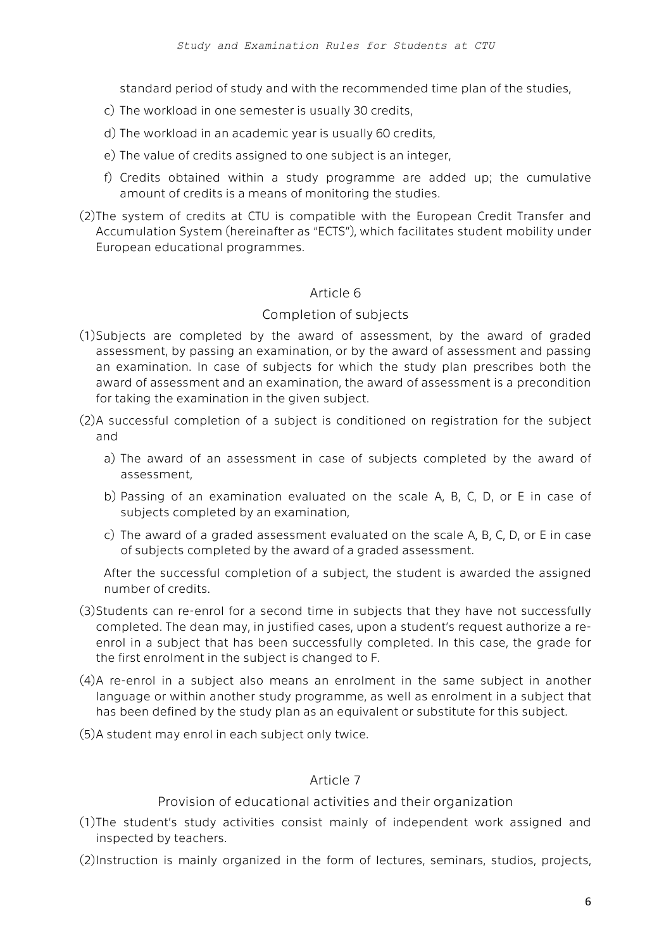standard period of study and with the recommended time plan of the studies,

- c) The workload in one semester is usually 30 credits,
- d) The workload in an academic year is usually 60 credits,
- e) The value of credits assigned to one subject is an integer,
- f) Credits obtained within a study programme are added up; the cumulative amount of credits is a means of monitoring the studies.
- (2)The system of credits at CTU is compatible with the European Credit Transfer and Accumulation System (hereinafter as "ECTS"), which facilitates student mobility under European educational programmes.

#### Article 6

#### Completion of subjects

- (1)Subjects are completed by the award of assessment, by the award of graded assessment, by passing an examination, or by the award of assessment and passing an examination. In case of subjects for which the study plan prescribes both the award of assessment and an examination, the award of assessment is a precondition for taking the examination in the given subject.
- (2)A successful completion of a subject is conditioned on registration for the subject and
	- a) The award of an assessment in case of subjects completed by the award of assessment,
	- b) Passing of an examination evaluated on the scale A, B, C, D, or E in case of subjects completed by an examination,
	- c) The award of a graded assessment evaluated on the scale A, B, C, D, or E in case of subjects completed by the award of a graded assessment.

After the successful completion of a subject, the student is awarded the assigned number of credits.

- (3)Students can re-enrol for a second time in subjects that they have not successfully completed. The dean may, in justified cases, upon a student's request authorize a reenrol in a subject that has been successfully completed. In this case, the grade for the first enrolment in the subject is changed to F.
- (4)A re-enrol in a subject also means an enrolment in the same subject in another language or within another study programme, as well as enrolment in a subject that has been defined by the study plan as an equivalent or substitute for this subject.
- (5)A student may enrol in each subject only twice.

#### Article 7

Provision of educational activities and their organization

- (1)The student's study activities consist mainly of independent work assigned and inspected by teachers.
- (2)Instruction is mainly organized in the form of lectures, seminars, studios, projects,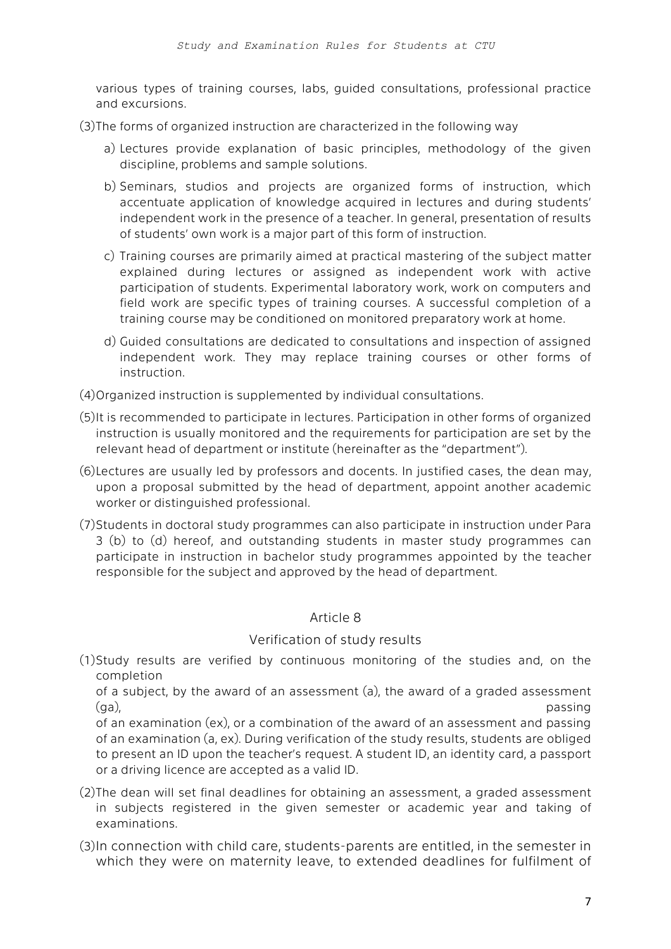various types of training courses, labs, guided consultations, professional practice and excursions.

(3)The forms of organized instruction are characterized in the following way

- a) Lectures provide explanation of basic principles, methodology of the given discipline, problems and sample solutions.
- b) Seminars, studios and projects are organized forms of instruction, which accentuate application of knowledge acquired in lectures and during students' independent work in the presence of a teacher. In general, presentation of results of students' own work is a major part of this form of instruction.
- c) Training courses are primarily aimed at practical mastering of the subject matter explained during lectures or assigned as independent work with active participation of students. Experimental laboratory work, work on computers and field work are specific types of training courses. A successful completion of a training course may be conditioned on monitored preparatory work at home.
- d) Guided consultations are dedicated to consultations and inspection of assigned independent work. They may replace training courses or other forms of instruction.
- (4)Organized instruction is supplemented by individual consultations.
- (5)It is recommended to participate in lectures. Participation in other forms of organized instruction is usually monitored and the requirements for participation are set by the relevant head of department or institute (hereinafter as the "department").
- (6)Lectures are usually led by professors and docents. In justified cases, the dean may, upon a proposal submitted by the head of department, appoint another academic worker or distinguished professional.
- (7)Students in doctoral study programmes can also participate in instruction under Para 3 (b) to (d) hereof, and outstanding students in master study programmes can participate in instruction in bachelor study programmes appointed by the teacher responsible for the subject and approved by the head of department.

# Article 8

# Verification of study results

(1)Study results are verified by continuous monitoring of the studies and, on the completion

of a subject, by the award of an assessment (a), the award of a graded assessment (ga), passing

of an examination (ex), or a combination of the award of an assessment and passing of an examination (a, ex). During verification of the study results, students are obliged to present an ID upon the teacher's request. A student ID, an identity card, a passport or a driving licence are accepted as a valid ID.

- (2)The dean will set final deadlines for obtaining an assessment, a graded assessment in subjects registered in the given semester or academic year and taking of examinations.
- (3)In connection with child care, students-parents are entitled, in the semester in which they were on maternity leave, to extended deadlines for fulfilment of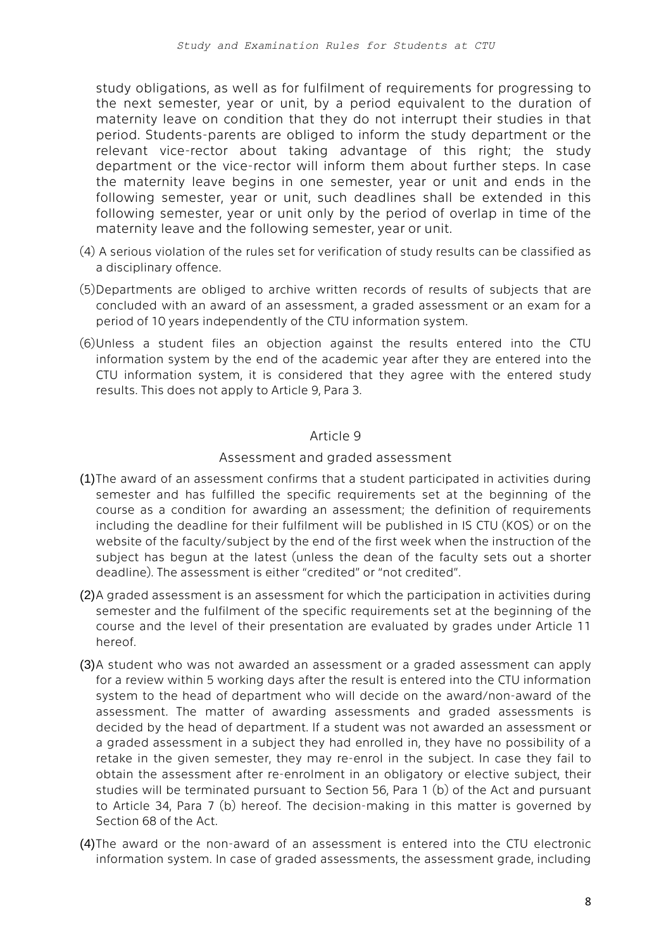study obligations, as well as for fulfilment of requirements for progressing to the next semester, year or unit, by a period equivalent to the duration of maternity leave on condition that they do not interrupt their studies in that period. Students-parents are obliged to inform the study department or the relevant vice-rector about taking advantage of this right; the study department or the vice-rector will inform them about further steps. In case the maternity leave begins in one semester, year or unit and ends in the following semester, year or unit, such deadlines shall be extended in this following semester, year or unit only by the period of overlap in time of the maternity leave and the following semester, year or unit.

- (4) A serious violation of the rules set for verification of study results can be classified as a disciplinary offence.
- (5)Departments are obliged to archive written records of results of subjects that are concluded with an award of an assessment, a graded assessment or an exam for a period of 10 years independently of the CTU information system.
- (6)Unless a student files an objection against the results entered into the CTU information system by the end of the academic year after they are entered into the CTU information system, it is considered that they agree with the entered study results. This does not apply to Article 9, Para 3.

### Article 9

### Assessment and graded assessment

- (1)The award of an assessment confirms that a student participated in activities during semester and has fulfilled the specific requirements set at the beginning of the course as a condition for awarding an assessment; the definition of requirements including the deadline for their fulfilment will be published in IS CTU (KOS) or on the website of the faculty/subject by the end of the first week when the instruction of the subject has begun at the latest (unless the dean of the faculty sets out a shorter deadline). The assessment is either "credited" or "not credited".
- (2)A graded assessment is an assessment for which the participation in activities during semester and the fulfilment of the specific requirements set at the beginning of the course and the level of their presentation are evaluated by grades under Article 11 hereof.
- (3)A student who was not awarded an assessment or a graded assessment can apply for a review within 5 working days after the result is entered into the CTU information system to the head of department who will decide on the award/non-award of the assessment. The matter of awarding assessments and graded assessments is decided by the head of department. If a student was not awarded an assessment or a graded assessment in a subject they had enrolled in, they have no possibility of a retake in the given semester, they may re-enrol in the subject. In case they fail to obtain the assessment after re-enrolment in an obligatory or elective subject, their studies will be terminated pursuant to Section 56, Para 1 (b) of the Act and pursuant to Article 34, Para 7 (b) hereof. The decision-making in this matter is governed by Section 68 of the Act.
- (4)The award or the non-award of an assessment is entered into the CTU electronic information system. In case of graded assessments, the assessment grade, including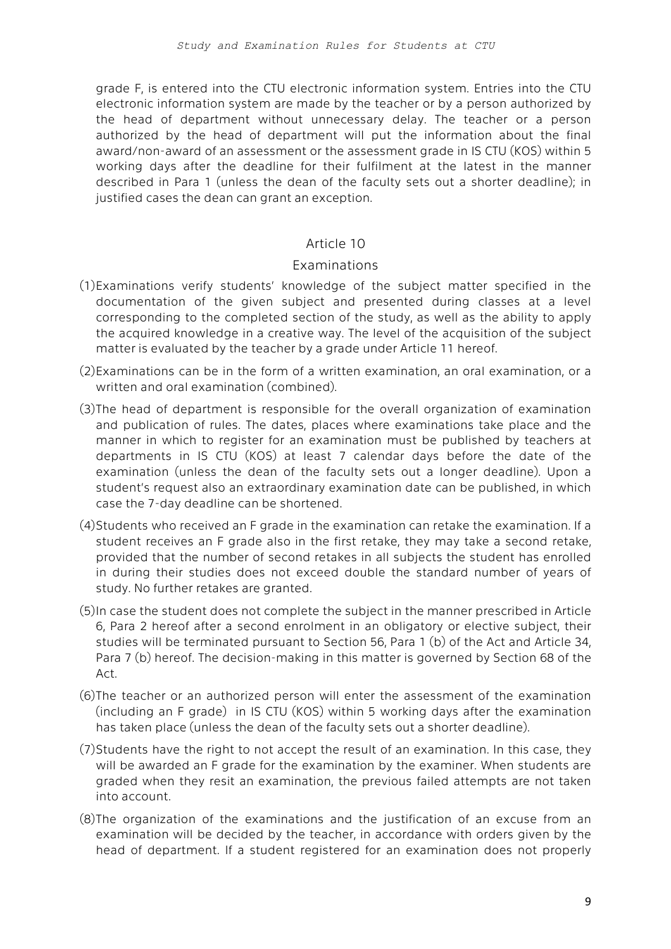grade F, is entered into the CTU electronic information system. Entries into the CTU electronic information system are made by the teacher or by a person authorized by the head of department without unnecessary delay. The teacher or a person authorized by the head of department will put the information about the final award/non-award of an assessment or the assessment grade in IS CTU (KOS) within 5 working days after the deadline for their fulfilment at the latest in the manner described in Para 1 (unless the dean of the faculty sets out a shorter deadline); in justified cases the dean can grant an exception.

### Article 10

#### Examinations

- (1)Examinations verify students' knowledge of the subject matter specified in the documentation of the given subject and presented during classes at a level corresponding to the completed section of the study, as well as the ability to apply the acquired knowledge in a creative way. The level of the acquisition of the subject matter is evaluated by the teacher by a grade under Article 11 hereof.
- (2)Examinations can be in the form of a written examination, an oral examination, or a written and oral examination (combined).
- (3)The head of department is responsible for the overall organization of examination and publication of rules. The dates, places where examinations take place and the manner in which to register for an examination must be published by teachers at departments in IS CTU (KOS) at least 7 calendar days before the date of the examination (unless the dean of the faculty sets out a longer deadline). Upon a student's request also an extraordinary examination date can be published, in which case the 7-day deadline can be shortened.
- (4)Students who received an F grade in the examination can retake the examination. If a student receives an F grade also in the first retake, they may take a second retake, provided that the number of second retakes in all subjects the student has enrolled in during their studies does not exceed double the standard number of years of study. No further retakes are granted.
- (5)In case the student does not complete the subject in the manner prescribed in Article 6, Para 2 hereof after a second enrolment in an obligatory or elective subject, their studies will be terminated pursuant to Section 56, Para 1 (b) of the Act and Article 34, Para 7 (b) hereof. The decision-making in this matter is governed by Section 68 of the Act.
- (6)The teacher or an authorized person will enter the assessment of the examination (including an F grade) in IS CTU (KOS) within 5 working days after the examination has taken place (unless the dean of the faculty sets out a shorter deadline).
- (7)Students have the right to not accept the result of an examination. In this case, they will be awarded an F grade for the examination by the examiner. When students are graded when they resit an examination, the previous failed attempts are not taken into account.
- (8)The organization of the examinations and the justification of an excuse from an examination will be decided by the teacher, in accordance with orders given by the head of department. If a student registered for an examination does not properly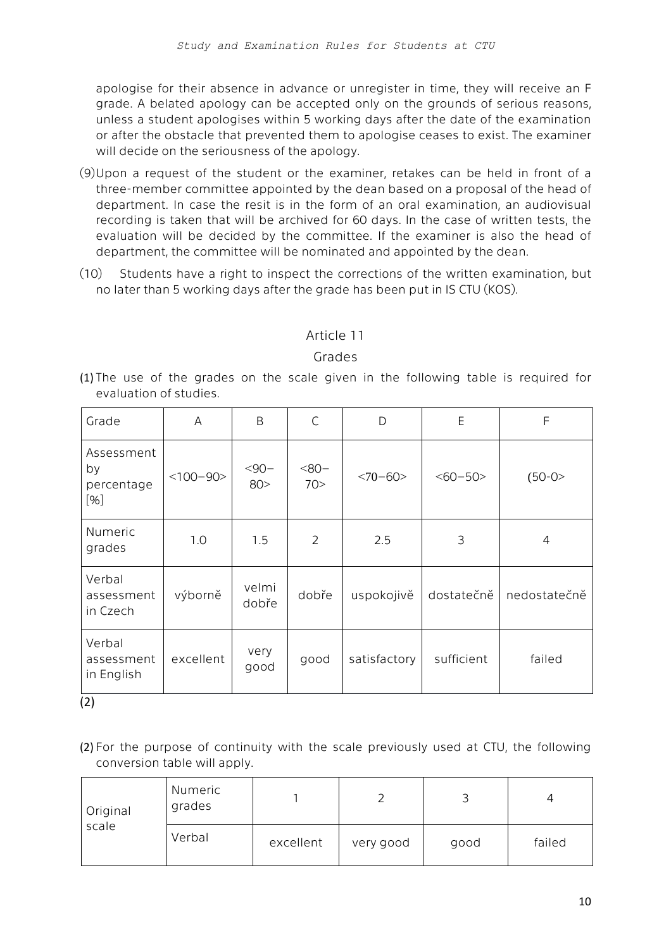apologise for their absence in advance or unregister in time, they will receive an F grade. A belated apology can be accepted only on the grounds of serious reasons, unless a student apologises within 5 working days after the date of the examination or after the obstacle that prevented them to apologise ceases to exist. The examiner will decide on the seriousness of the apology.

- (9)Upon a request of the student or the examiner, retakes can be held in front of a three-member committee appointed by the dean based on a proposal of the head of department. In case the resit is in the form of an oral examination, an audiovisual recording is taken that will be archived for 60 days. In the case of written tests, the evaluation will be decided by the committee. If the examiner is also the head of department, the committee will be nominated and appointed by the dean.
- (10) Students have a right to inspect the corrections of the written examination, but no later than 5 working days after the grade has been put in IS CTU (KOS).

# Article 11

# Grades

(1) The use of the grades on the scale given in the following table is required for evaluation of studies.

| Grade                                 | A          | B                | $\mathsf{C}$   | D            | E            | F            |
|---------------------------------------|------------|------------------|----------------|--------------|--------------|--------------|
| Assessment<br>by<br>percentage<br>[%] | $<100-90>$ | $< 90 -$<br>80 > | $-80-$<br>70>  | $<70 - 60$   | $<\,60 - 50$ | $(50-0)$     |
| Numeric<br>grades                     | 1.0        | 1.5              | $\overline{2}$ | 2.5          | 3            | 4            |
| Verbal<br>assessment<br>in Czech      | výborně    | velmi<br>dobře   | dobře          | uspokojivě   | dostatečně   | nedostatečně |
| Verbal<br>assessment<br>in English    | excellent  | very<br>good     | good           | satisfactory | sufficient   | failed       |

(2)

(2) For the purpose of continuity with the scale previously used at CTU, the following conversion table will apply.

| Original<br>scale | Numeric<br>grades |           |           |      |        |
|-------------------|-------------------|-----------|-----------|------|--------|
|                   | Verbal            | excellent | very good | good | failed |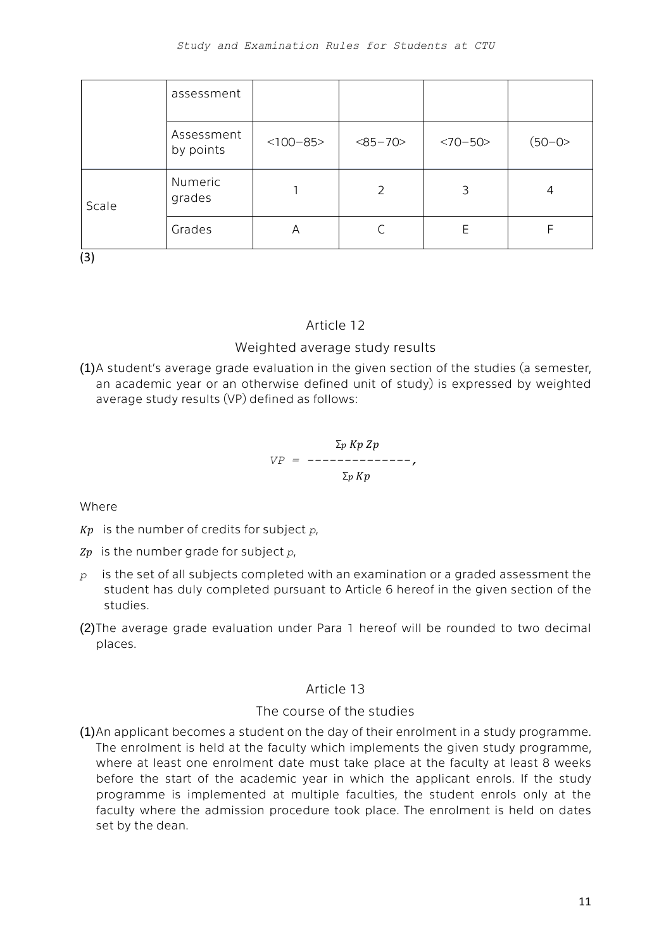|                 | assessment              |            |           |           |        |
|-----------------|-------------------------|------------|-----------|-----------|--------|
|                 | Assessment<br>by points | $<100-85>$ | $<85-70>$ | $<70-50>$ | (50-0> |
| Scale<br>$\sim$ | Numeric<br>grades       |            | 2         | 3         | 4      |
|                 | Grades                  | Α          |           | Ε         |        |

(3)

# Article 12

# Weighted average study results

(1)A student's average grade evaluation in the given section of the studies (a semester, an academic year or an otherwise defined unit of study) is expressed by weighted average study results (VP) defined as follows:

$$
VP = \frac{\sum_{p} Kp \; Zp}{\sum_{p} Kp},
$$

Where

 $Kp$  is the number of credits for subject  $p$ ,

 $Zp$  is the number grade for subject  $p$ ,

- *p* is the set of all subjects completed with an examination or a graded assessment the student has duly completed pursuant to Article 6 hereof in the given section of the studies.
- (2)The average grade evaluation under Para 1 hereof will be rounded to two decimal places.

# Article 13

# The course of the studies

(1)An applicant becomes a student on the day of their enrolment in a study programme. The enrolment is held at the faculty which implements the given study programme, where at least one enrolment date must take place at the faculty at least 8 weeks before the start of the academic year in which the applicant enrols. If the study programme is implemented at multiple faculties, the student enrols only at the faculty where the admission procedure took place. The enrolment is held on dates set by the dean.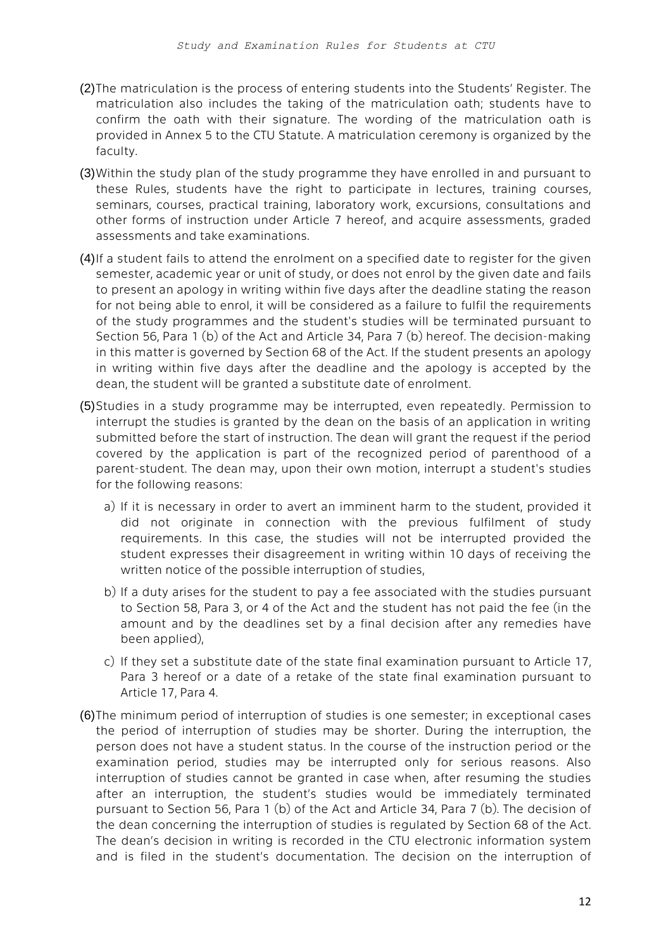- (2)The matriculation is the process of entering students into the Students' Register. The matriculation also includes the taking of the matriculation oath; students have to confirm the oath with their signature. The wording of the matriculation oath is provided in Annex 5 to the CTU Statute. A matriculation ceremony is organized by the faculty.
- (3)Within the study plan of the study programme they have enrolled in and pursuant to these Rules, students have the right to participate in lectures, training courses, seminars, courses, practical training, laboratory work, excursions, consultations and other forms of instruction under Article 7 hereof, and acquire assessments, graded assessments and take examinations.
- (4)If a student fails to attend the enrolment on a specified date to register for the given semester, academic year or unit of study, or does not enrol by the given date and fails to present an apology in writing within five days after the deadline stating the reason for not being able to enrol, it will be considered as a failure to fulfil the requirements of the study programmes and the student's studies will be terminated pursuant to Section 56, Para 1 (b) of the Act and Article 34, Para 7 (b) hereof. The decision-making in this matter is governed by Section 68 of the Act. If the student presents an apology in writing within five days after the deadline and the apology is accepted by the dean, the student will be granted a substitute date of enrolment.
- (5)Studies in a study programme may be interrupted, even repeatedly. Permission to interrupt the studies is granted by the dean on the basis of an application in writing submitted before the start of instruction. The dean will grant the request if the period covered by the application is part of the recognized period of parenthood of a parent-student. The dean may, upon their own motion, interrupt a student's studies for the following reasons:
	- a) If it is necessary in order to avert an imminent harm to the student, provided it did not originate in connection with the previous fulfilment of study requirements. In this case, the studies will not be interrupted provided the student expresses their disagreement in writing within 10 days of receiving the written notice of the possible interruption of studies,
	- b) If a duty arises for the student to pay a fee associated with the studies pursuant to Section 58, Para 3, or 4 of the Act and the student has not paid the fee (in the amount and by the deadlines set by a final decision after any remedies have been applied),
	- c) If they set a substitute date of the state final examination pursuant to Article 17, Para 3 hereof or a date of a retake of the state final examination pursuant to Article 17, Para 4.
- (6)The minimum period of interruption of studies is one semester; in exceptional cases the period of interruption of studies may be shorter. During the interruption, the person does not have a student status. In the course of the instruction period or the examination period, studies may be interrupted only for serious reasons. Also interruption of studies cannot be granted in case when, after resuming the studies after an interruption, the student's studies would be immediately terminated pursuant to Section 56, Para 1 (b) of the Act and Article 34, Para 7 (b). The decision of the dean concerning the interruption of studies is regulated by Section 68 of the Act. The dean's decision in writing is recorded in the CTU electronic information system and is filed in the student's documentation. The decision on the interruption of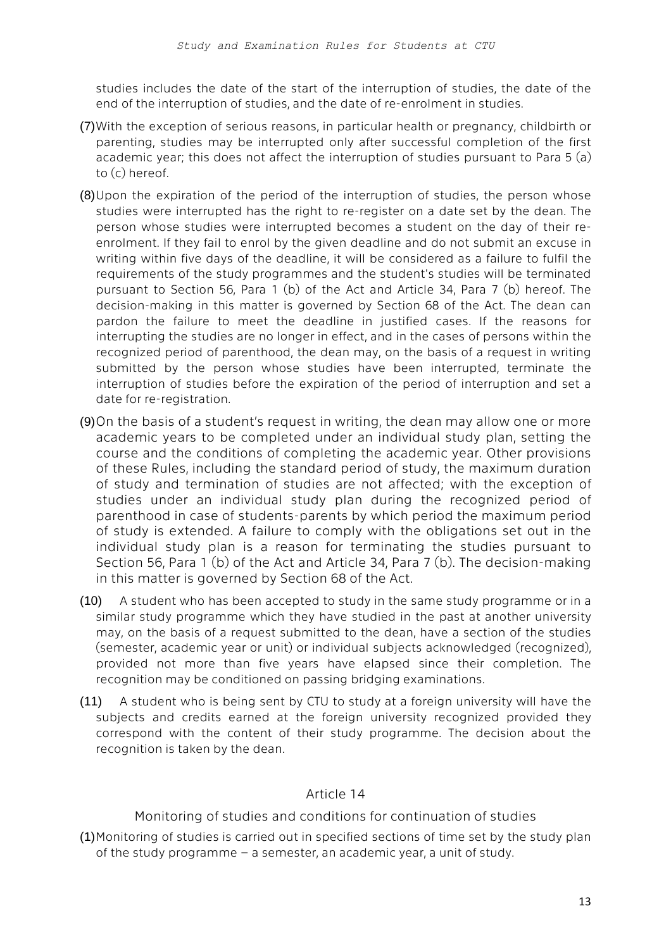studies includes the date of the start of the interruption of studies, the date of the end of the interruption of studies, and the date of re-enrolment in studies.

- (7)With the exception of serious reasons, in particular health or pregnancy, childbirth or parenting, studies may be interrupted only after successful completion of the first academic year; this does not affect the interruption of studies pursuant to Para 5 (a) to (c) hereof.
- (8)Upon the expiration of the period of the interruption of studies, the person whose studies were interrupted has the right to re-register on a date set by the dean. The person whose studies were interrupted becomes a student on the day of their reenrolment. If they fail to enrol by the given deadline and do not submit an excuse in writing within five days of the deadline, it will be considered as a failure to fulfil the requirements of the study programmes and the student's studies will be terminated pursuant to Section 56, Para 1 (b) of the Act and Article 34, Para 7 (b) hereof. The decision-making in this matter is governed by Section 68 of the Act. The dean can pardon the failure to meet the deadline in justified cases. If the reasons for interrupting the studies are no longer in effect, and in the cases of persons within the recognized period of parenthood, the dean may, on the basis of a request in writing submitted by the person whose studies have been interrupted, terminate the interruption of studies before the expiration of the period of interruption and set a date for re-registration.
- (9)On the basis of a student's request in writing, the dean may allow one or more academic years to be completed under an individual study plan, setting the course and the conditions of completing the academic year. Other provisions of these Rules, including the standard period of study, the maximum duration of study and termination of studies are not affected; with the exception of studies under an individual study plan during the recognized period of parenthood in case of students-parents by which period the maximum period of study is extended. A failure to comply with the obligations set out in the individual study plan is a reason for terminating the studies pursuant to Section 56, Para 1 (b) of the Act and Article 34, Para 7 (b). The decision-making in this matter is governed by Section 68 of the Act.
- (10) A student who has been accepted to study in the same study programme or in a similar study programme which they have studied in the past at another university may, on the basis of a request submitted to the dean, have a section of the studies (semester, academic year or unit) or individual subjects acknowledged (recognized), provided not more than five years have elapsed since their completion. The recognition may be conditioned on passing bridging examinations.
- (11) A student who is being sent by CTU to study at a foreign university will have the subjects and credits earned at the foreign university recognized provided they correspond with the content of their study programme. The decision about the recognition is taken by the dean.

# Article 14

Monitoring of studies and conditions for continuation of studies

(1)Monitoring of studies is carried out in specified sections of time set by the study plan of the study programme – a semester, an academic year, a unit of study.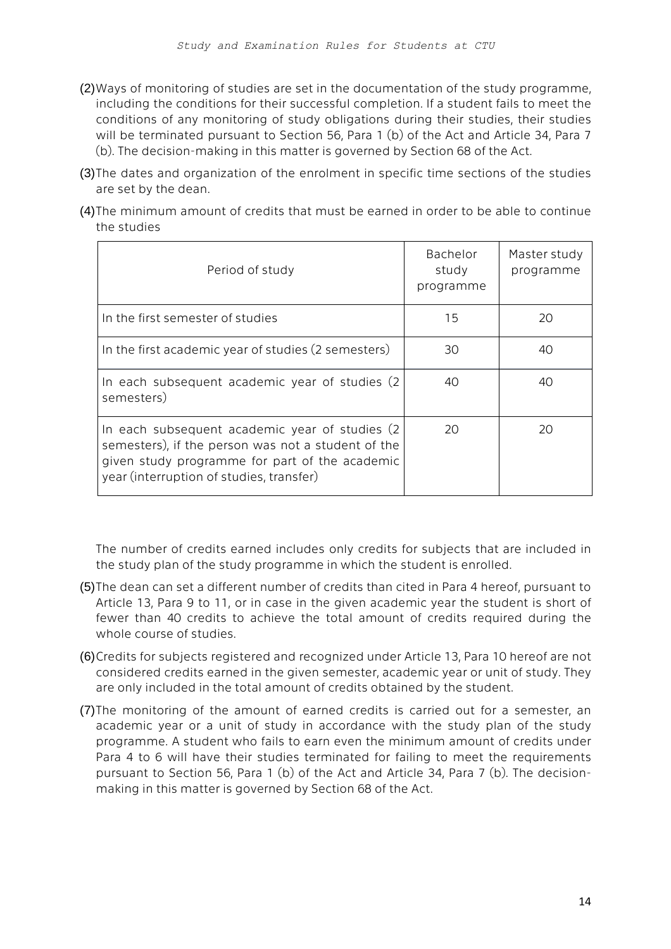- (2)Ways of monitoring of studies are set in the documentation of the study programme, including the conditions for their successful completion. If a student fails to meet the conditions of any monitoring of study obligations during their studies, their studies will be terminated pursuant to Section 56, Para 1 (b) of the Act and Article 34, Para 7 (b). The decision-making in this matter is governed by Section 68 of the Act.
- (3)The dates and organization of the enrolment in specific time sections of the studies are set by the dean.
- (4)The minimum amount of credits that must be earned in order to be able to continue the studies

| Period of study                                                                                                                                                                                     | Bachelor<br>study<br>programme | Master study<br>programme |
|-----------------------------------------------------------------------------------------------------------------------------------------------------------------------------------------------------|--------------------------------|---------------------------|
| In the first semester of studies                                                                                                                                                                    | 15                             | 20                        |
| In the first academic year of studies (2 semesters)                                                                                                                                                 | 30                             | 40                        |
| In each subsequent academic year of studies (2)<br>semesters)                                                                                                                                       | 40                             | 40                        |
| In each subsequent academic year of studies (2)<br>semesters), if the person was not a student of the<br>given study programme for part of the academic<br>year (interruption of studies, transfer) | 20                             | 20                        |

The number of credits earned includes only credits for subjects that are included in the study plan of the study programme in which the student is enrolled.

- (5)The dean can set a different number of credits than cited in Para 4 hereof, pursuant to Article 13, Para 9 to 11, or in case in the given academic year the student is short of fewer than 40 credits to achieve the total amount of credits required during the whole course of studies.
- (6)Credits for subjects registered and recognized under Article 13, Para 10 hereof are not considered credits earned in the given semester, academic year or unit of study. They are only included in the total amount of credits obtained by the student.
- (7)The monitoring of the amount of earned credits is carried out for a semester, an academic year or a unit of study in accordance with the study plan of the study programme. A student who fails to earn even the minimum amount of credits under Para 4 to 6 will have their studies terminated for failing to meet the requirements pursuant to Section 56, Para 1 (b) of the Act and Article 34, Para 7 (b). The decisionmaking in this matter is governed by Section 68 of the Act.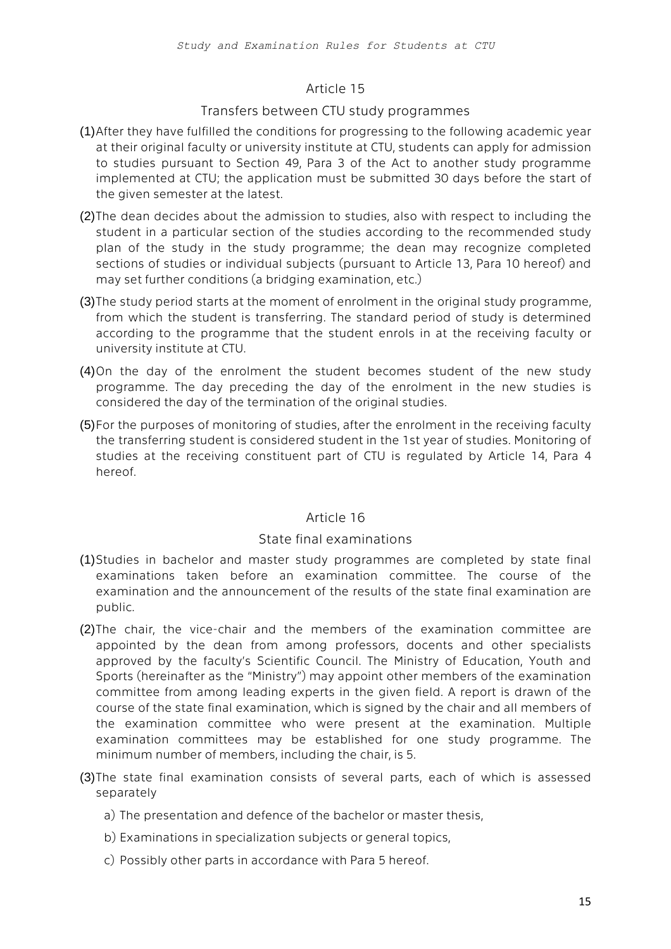### Article 15

### Transfers between CTU study programmes

- (1)After they have fulfilled the conditions for progressing to the following academic year at their original faculty or university institute at CTU, students can apply for admission to studies pursuant to Section 49, Para 3 of the Act to another study programme implemented at CTU; the application must be submitted 30 days before the start of the given semester at the latest.
- (2)The dean decides about the admission to studies, also with respect to including the student in a particular section of the studies according to the recommended study plan of the study in the study programme; the dean may recognize completed sections of studies or individual subjects (pursuant to Article 13, Para 10 hereof) and may set further conditions (a bridging examination, etc.)
- (3)The study period starts at the moment of enrolment in the original study programme, from which the student is transferring. The standard period of study is determined according to the programme that the student enrols in at the receiving faculty or university institute at CTU.
- (4)On the day of the enrolment the student becomes student of the new study programme. The day preceding the day of the enrolment in the new studies is considered the day of the termination of the original studies.
- (5)For the purposes of monitoring of studies, after the enrolment in the receiving faculty the transferring student is considered student in the 1st year of studies. Monitoring of studies at the receiving constituent part of CTU is regulated by Article 14, Para 4 hereof.

# Article 16

#### State final examinations

- (1)Studies in bachelor and master study programmes are completed by state final examinations taken before an examination committee. The course of the examination and the announcement of the results of the state final examination are public.
- (2)The chair, the vice-chair and the members of the examination committee are appointed by the dean from among professors, docents and other specialists approved by the faculty's Scientific Council. The Ministry of Education, Youth and Sports (hereinafter as the "Ministry") may appoint other members of the examination committee from among leading experts in the given field. A report is drawn of the course of the state final examination, which is signed by the chair and all members of the examination committee who were present at the examination. Multiple examination committees may be established for one study programme. The minimum number of members, including the chair, is 5.
- (3)The state final examination consists of several parts, each of which is assessed separately
	- a) The presentation and defence of the bachelor or master thesis,
	- b) Examinations in specialization subjects or general topics,
	- c) Possibly other parts in accordance with Para 5 hereof.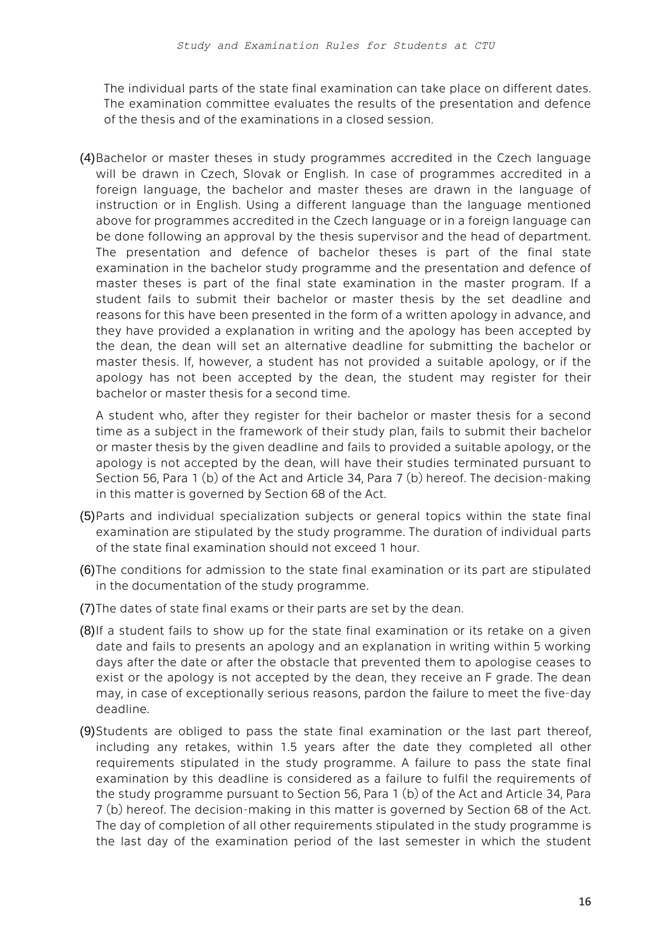The individual parts of the state final examination can take place on different dates. The examination committee evaluates the results of the presentation and defence of the thesis and of the examinations in a closed session.

(4)Bachelor or master theses in study programmes accredited in the Czech language will be drawn in Czech, Slovak or English. In case of programmes accredited in a foreign language, the bachelor and master theses are drawn in the language of instruction or in English. Using a different language than the language mentioned above for programmes accredited in the Czech language or in a foreign language can be done following an approval by the thesis supervisor and the head of department. The presentation and defence of bachelor theses is part of the final state examination in the bachelor study programme and the presentation and defence of master theses is part of the final state examination in the master program. If a student fails to submit their bachelor or master thesis by the set deadline and reasons for this have been presented in the form of a written apology in advance, and they have provided a explanation in writing and the apology has been accepted by the dean, the dean will set an alternative deadline for submitting the bachelor or master thesis. If, however, a student has not provided a suitable apology, or if the apology has not been accepted by the dean, the student may register for their bachelor or master thesis for a second time.

A student who, after they register for their bachelor or master thesis for a second time as a subject in the framework of their study plan, fails to submit their bachelor or master thesis by the given deadline and fails to provided a suitable apology, or the apology is not accepted by the dean, will have their studies terminated pursuant to Section 56, Para 1 (b) of the Act and Article 34, Para 7 (b) hereof. The decision-making in this matter is governed by Section 68 of the Act.

- (5)Parts and individual specialization subjects or general topics within the state final examination are stipulated by the study programme. The duration of individual parts of the state final examination should not exceed 1 hour.
- (6)The conditions for admission to the state final examination or its part are stipulated in the documentation of the study programme.
- (7)The dates of state final exams or their parts are set by the dean.
- (8)If a student fails to show up for the state final examination or its retake on a given date and fails to presents an apology and an explanation in writing within 5 working days after the date or after the obstacle that prevented them to apologise ceases to exist or the apology is not accepted by the dean, they receive an F grade. The dean may, in case of exceptionally serious reasons, pardon the failure to meet the five-day deadline.
- (9)Students are obliged to pass the state final examination or the last part thereof, including any retakes, within 1.5 years after the date they completed all other requirements stipulated in the study programme. A failure to pass the state final examination by this deadline is considered as a failure to fulfil the requirements of the study programme pursuant to Section 56, Para 1 (b) of the Act and Article 34, Para 7 (b) hereof. The decision-making in this matter is governed by Section 68 of the Act. The day of completion of all other requirements stipulated in the study programme is the last day of the examination period of the last semester in which the student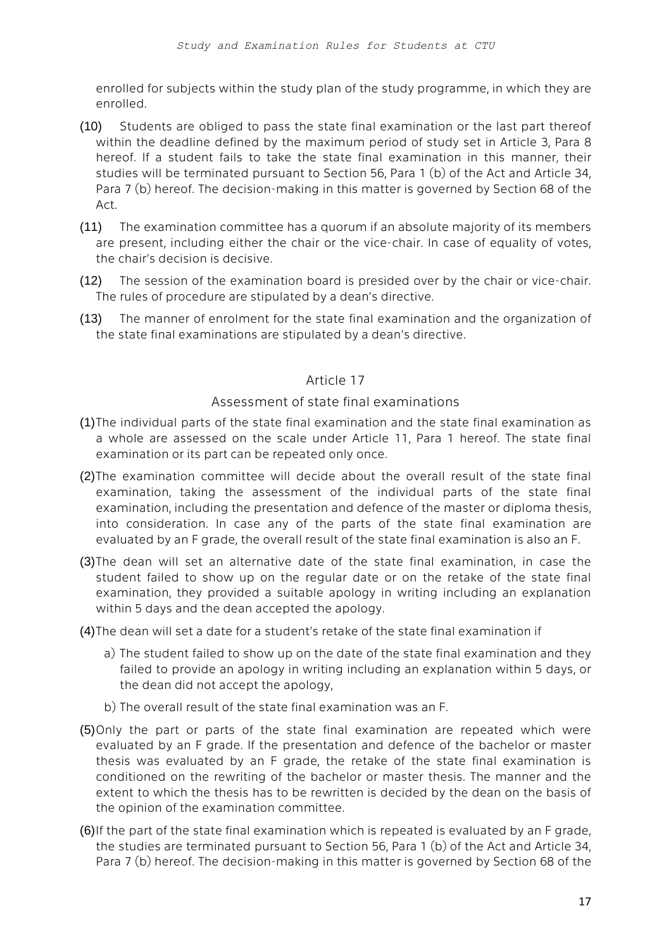enrolled for subjects within the study plan of the study programme, in which they are enrolled.

- (10) Students are obliged to pass the state final examination or the last part thereof within the deadline defined by the maximum period of study set in Article 3, Para 8 hereof. If a student fails to take the state final examination in this manner, their studies will be terminated pursuant to Section 56, Para 1 (b) of the Act and Article 34, Para 7 (b) hereof. The decision-making in this matter is governed by Section 68 of the Act.
- (11) The examination committee has a quorum if an absolute majority of its members are present, including either the chair or the vice-chair. In case of equality of votes, the chair's decision is decisive.
- (12) The session of the examination board is presided over by the chair or vice-chair. The rules of procedure are stipulated by a dean's directive.
- (13) The manner of enrolment for the state final examination and the organization of the state final examinations are stipulated by a dean's directive.

# Article 17

### Assessment of state final examinations

- (1)The individual parts of the state final examination and the state final examination as a whole are assessed on the scale under Article 11, Para 1 hereof. The state final examination or its part can be repeated only once.
- (2)The examination committee will decide about the overall result of the state final examination, taking the assessment of the individual parts of the state final examination, including the presentation and defence of the master or diploma thesis, into consideration. In case any of the parts of the state final examination are evaluated by an F grade, the overall result of the state final examination is also an F.
- (3)The dean will set an alternative date of the state final examination, in case the student failed to show up on the regular date or on the retake of the state final examination, they provided a suitable apology in writing including an explanation within 5 days and the dean accepted the apology.
- (4)The dean will set a date for a student's retake of the state final examination if
	- a) The student failed to show up on the date of the state final examination and they failed to provide an apology in writing including an explanation within 5 days, or the dean did not accept the apology,
	- b) The overall result of the state final examination was an F.
- (5)Only the part or parts of the state final examination are repeated which were evaluated by an F grade. If the presentation and defence of the bachelor or master thesis was evaluated by an F grade, the retake of the state final examination is conditioned on the rewriting of the bachelor or master thesis. The manner and the extent to which the thesis has to be rewritten is decided by the dean on the basis of the opinion of the examination committee.
- (6)If the part of the state final examination which is repeated is evaluated by an F grade, the studies are terminated pursuant to Section 56, Para 1 (b) of the Act and Article 34, Para 7 (b) hereof. The decision-making in this matter is governed by Section 68 of the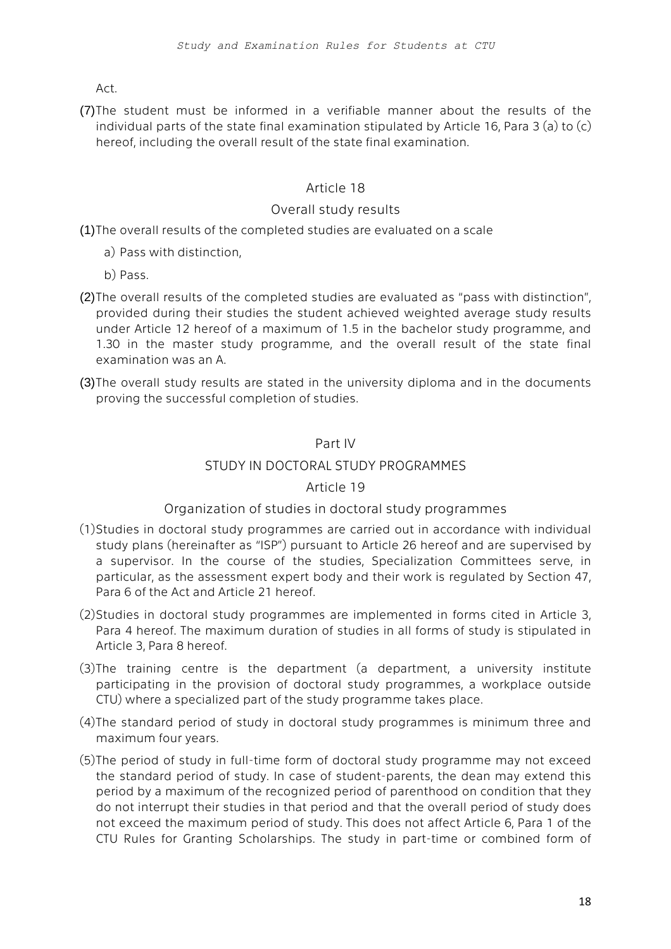Act.

(7)The student must be informed in a verifiable manner about the results of the individual parts of the state final examination stipulated by Article 16, Para 3 (a) to (c) hereof, including the overall result of the state final examination.

# Article 18

### Overall study results

(1)The overall results of the completed studies are evaluated on a scale

- a) Pass with distinction,
- b) Pass.
- (2)The overall results of the completed studies are evaluated as "pass with distinction", provided during their studies the student achieved weighted average study results under Article 12 hereof of a maximum of 1.5 in the bachelor study programme, and 1.30 in the master study programme, and the overall result of the state final examination was an A.
- (3)The overall study results are stated in the university diploma and in the documents proving the successful completion of studies.

### Part IV

### STUDY IN DOCTORAL STUDY PROGRAMMES

# Article 19

# Organization of studies in doctoral study programmes

- (1)Studies in doctoral study programmes are carried out in accordance with individual study plans (hereinafter as "ISP") pursuant to Article 26 hereof and are supervised by a supervisor. In the course of the studies, Specialization Committees serve, in particular, as the assessment expert body and their work is regulated by Section 47, Para 6 of the Act and Article 21 hereof.
- (2)Studies in doctoral study programmes are implemented in forms cited in Article 3, Para 4 hereof. The maximum duration of studies in all forms of study is stipulated in Article 3, Para 8 hereof.
- (3)The training centre is the department (a department, a university institute participating in the provision of doctoral study programmes, a workplace outside CTU) where a specialized part of the study programme takes place.
- (4)The standard period of study in doctoral study programmes is minimum three and maximum four years.
- (5)The period of study in full-time form of doctoral study programme may not exceed the standard period of study. In case of student-parents, the dean may extend this period by a maximum of the recognized period of parenthood on condition that they do not interrupt their studies in that period and that the overall period of study does not exceed the maximum period of study. This does not affect Article 6, Para 1 of the CTU Rules for Granting Scholarships. The study in part-time or combined form of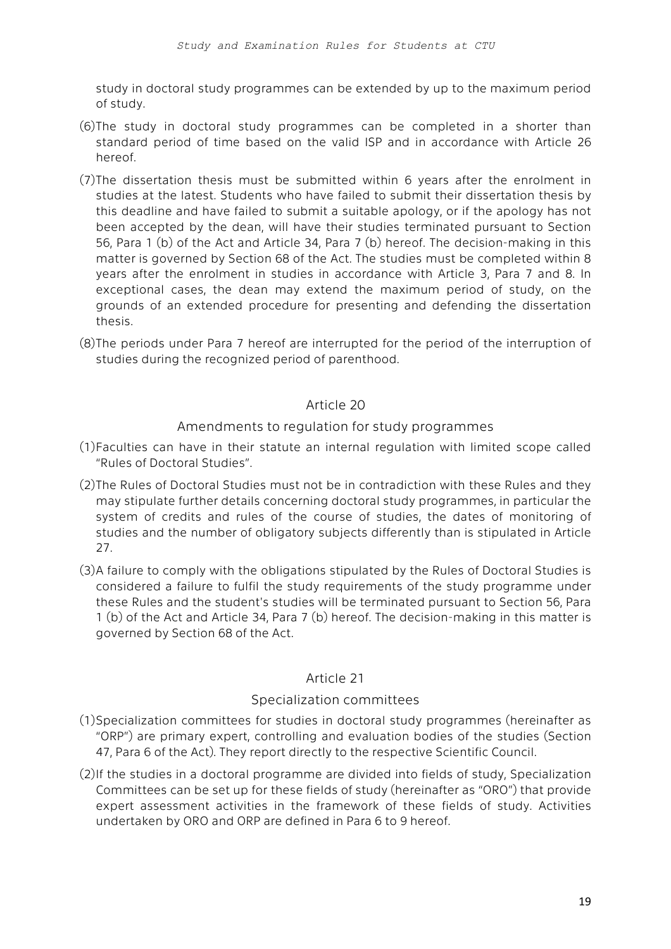study in doctoral study programmes can be extended by up to the maximum period of study.

- (6)The study in doctoral study programmes can be completed in a shorter than standard period of time based on the valid ISP and in accordance with Article 26 hereof.
- (7)The dissertation thesis must be submitted within 6 years after the enrolment in studies at the latest. Students who have failed to submit their dissertation thesis by this deadline and have failed to submit a suitable apology, or if the apology has not been accepted by the dean, will have their studies terminated pursuant to Section 56, Para 1 (b) of the Act and Article 34, Para 7 (b) hereof. The decision-making in this matter is governed by Section 68 of the Act. The studies must be completed within 8 years after the enrolment in studies in accordance with Article 3, Para 7 and 8. In exceptional cases, the dean may extend the maximum period of study, on the grounds of an extended procedure for presenting and defending the dissertation thesis.
- (8)The periods under Para 7 hereof are interrupted for the period of the interruption of studies during the recognized period of parenthood.

# Article 20

# Amendments to regulation for study programmes

- (1)Faculties can have in their statute an internal regulation with limited scope called "Rules of Doctoral Studies".
- (2)The Rules of Doctoral Studies must not be in contradiction with these Rules and they may stipulate further details concerning doctoral study programmes, in particular the system of credits and rules of the course of studies, the dates of monitoring of studies and the number of obligatory subjects differently than is stipulated in Article 27.
- (3)A failure to comply with the obligations stipulated by the Rules of Doctoral Studies is considered a failure to fulfil the study requirements of the study programme under these Rules and the student's studies will be terminated pursuant to Section 56, Para 1 (b) of the Act and Article 34, Para 7 (b) hereof. The decision-making in this matter is governed by Section 68 of the Act.

# Article 21

# Specialization committees

- (1)Specialization committees for studies in doctoral study programmes (hereinafter as "ORP") are primary expert, controlling and evaluation bodies of the studies (Section 47, Para 6 of the Act). They report directly to the respective Scientific Council.
- (2)If the studies in a doctoral programme are divided into fields of study, Specialization Committees can be set up for these fields of study (hereinafter as "ORO") that provide expert assessment activities in the framework of these fields of study. Activities undertaken by ORO and ORP are defined in Para 6 to 9 hereof.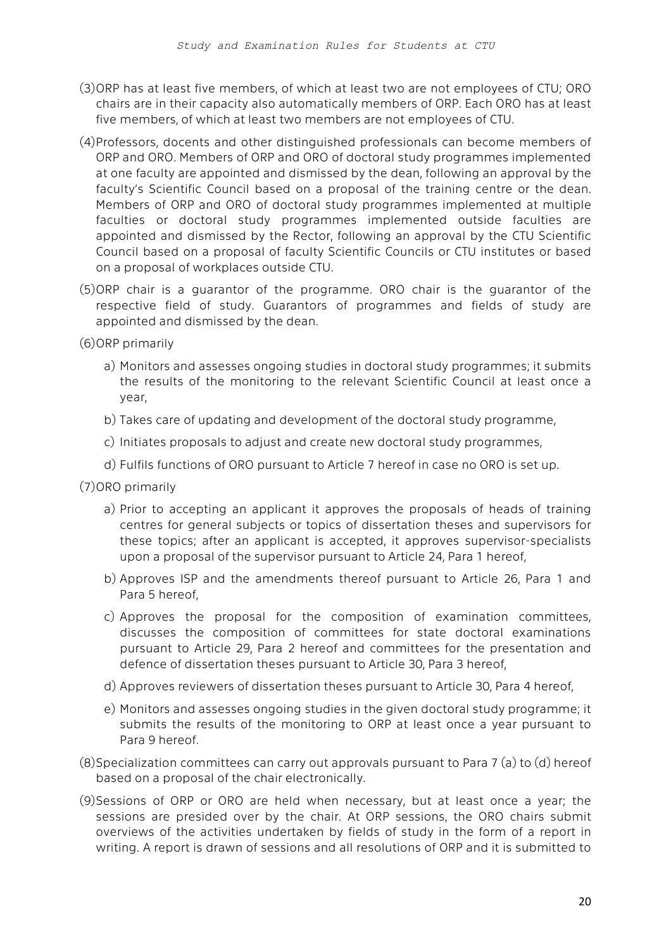- (3)ORP has at least five members, of which at least two are not employees of CTU; ORO chairs are in their capacity also automatically members of ORP. Each ORO has at least five members, of which at least two members are not employees of CTU.
- (4)Professors, docents and other distinguished professionals can become members of ORP and ORO. Members of ORP and ORO of doctoral study programmes implemented at one faculty are appointed and dismissed by the dean, following an approval by the faculty's Scientific Council based on a proposal of the training centre or the dean. Members of ORP and ORO of doctoral study programmes implemented at multiple faculties or doctoral study programmes implemented outside faculties are appointed and dismissed by the Rector, following an approval by the CTU Scientific Council based on a proposal of faculty Scientific Councils or CTU institutes or based on a proposal of workplaces outside CTU.
- (5)ORP chair is a guarantor of the programme. ORO chair is the guarantor of the respective field of study. Guarantors of programmes and fields of study are appointed and dismissed by the dean.
- (6)ORP primarily
	- a) Monitors and assesses ongoing studies in doctoral study programmes; it submits the results of the monitoring to the relevant Scientific Council at least once a year,
	- b) Takes care of updating and development of the doctoral study programme,
	- c) Initiates proposals to adjust and create new doctoral study programmes,
	- d) Fulfils functions of ORO pursuant to Article 7 hereof in case no ORO is set up.
- (7)ORO primarily
	- a) Prior to accepting an applicant it approves the proposals of heads of training centres for general subjects or topics of dissertation theses and supervisors for these topics; after an applicant is accepted, it approves supervisor-specialists upon a proposal of the supervisor pursuant to Article 24, Para 1 hereof,
	- b) Approves ISP and the amendments thereof pursuant to Article 26, Para 1 and Para 5 hereof,
	- c) Approves the proposal for the composition of examination committees, discusses the composition of committees for state doctoral examinations pursuant to Article 29, Para 2 hereof and committees for the presentation and defence of dissertation theses pursuant to Article 30, Para 3 hereof,
	- d) Approves reviewers of dissertation theses pursuant to Article 30, Para 4 hereof,
	- e) Monitors and assesses ongoing studies in the given doctoral study programme; it submits the results of the monitoring to ORP at least once a year pursuant to Para 9 hereof.
- (8)Specialization committees can carry out approvals pursuant to Para 7 (a) to (d) hereof based on a proposal of the chair electronically.
- (9)Sessions of ORP or ORO are held when necessary, but at least once a year; the sessions are presided over by the chair. At ORP sessions, the ORO chairs submit overviews of the activities undertaken by fields of study in the form of a report in writing. A report is drawn of sessions and all resolutions of ORP and it is submitted to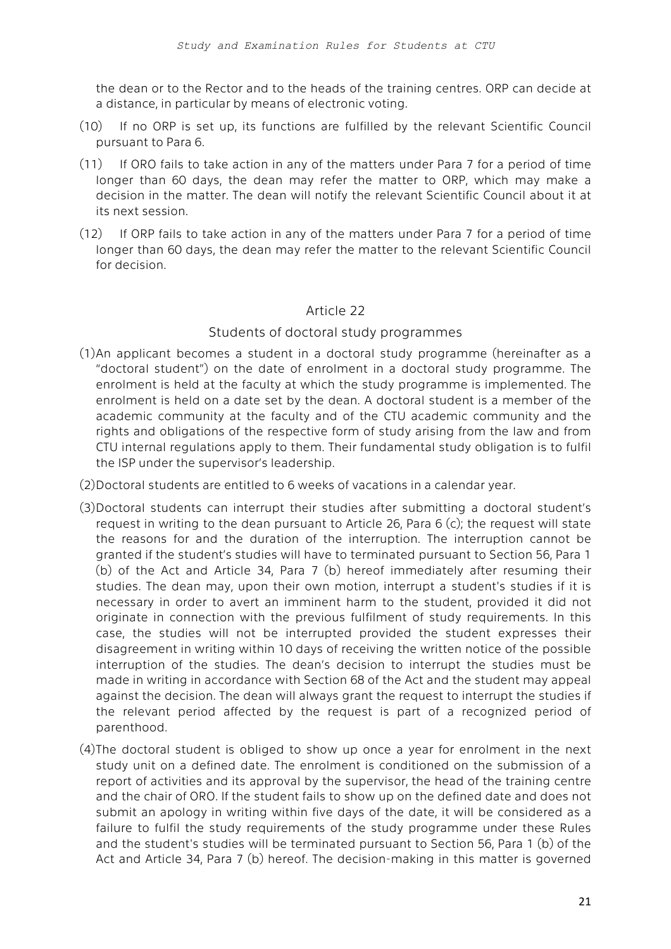the dean or to the Rector and to the heads of the training centres. ORP can decide at a distance, in particular by means of electronic voting.

- (10) If no ORP is set up, its functions are fulfilled by the relevant Scientific Council pursuant to Para 6.
- (11) If ORO fails to take action in any of the matters under Para 7 for a period of time longer than 60 days, the dean may refer the matter to ORP, which may make a decision in the matter. The dean will notify the relevant Scientific Council about it at its next session.
- (12) If ORP fails to take action in any of the matters under Para 7 for a period of time longer than 60 days, the dean may refer the matter to the relevant Scientific Council for decision.

### Article 22

### Students of doctoral study programmes

- (1)An applicant becomes a student in a doctoral study programme (hereinafter as a "doctoral student") on the date of enrolment in a doctoral study programme. The enrolment is held at the faculty at which the study programme is implemented. The enrolment is held on a date set by the dean. A doctoral student is a member of the academic community at the faculty and of the CTU academic community and the rights and obligations of the respective form of study arising from the law and from CTU internal regulations apply to them. Their fundamental study obligation is to fulfil the ISP under the supervisor's leadership.
- (2)Doctoral students are entitled to 6 weeks of vacations in a calendar year.
- (3)Doctoral students can interrupt their studies after submitting a doctoral student's request in writing to the dean pursuant to Article 26, Para 6 (c); the request will state the reasons for and the duration of the interruption. The interruption cannot be granted if the student's studies will have to terminated pursuant to Section 56, Para 1 (b) of the Act and Article 34, Para 7 (b) hereof immediately after resuming their studies. The dean may, upon their own motion, interrupt a student's studies if it is necessary in order to avert an imminent harm to the student, provided it did not originate in connection with the previous fulfilment of study requirements. In this case, the studies will not be interrupted provided the student expresses their disagreement in writing within 10 days of receiving the written notice of the possible interruption of the studies. The dean's decision to interrupt the studies must be made in writing in accordance with Section 68 of the Act and the student may appeal against the decision. The dean will always grant the request to interrupt the studies if the relevant period affected by the request is part of a recognized period of parenthood.
- (4)The doctoral student is obliged to show up once a year for enrolment in the next study unit on a defined date. The enrolment is conditioned on the submission of a report of activities and its approval by the supervisor, the head of the training centre and the chair of ORO. If the student fails to show up on the defined date and does not submit an apology in writing within five days of the date, it will be considered as a failure to fulfil the study requirements of the study programme under these Rules and the student's studies will be terminated pursuant to Section 56, Para 1 (b) of the Act and Article 34, Para 7 (b) hereof. The decision-making in this matter is governed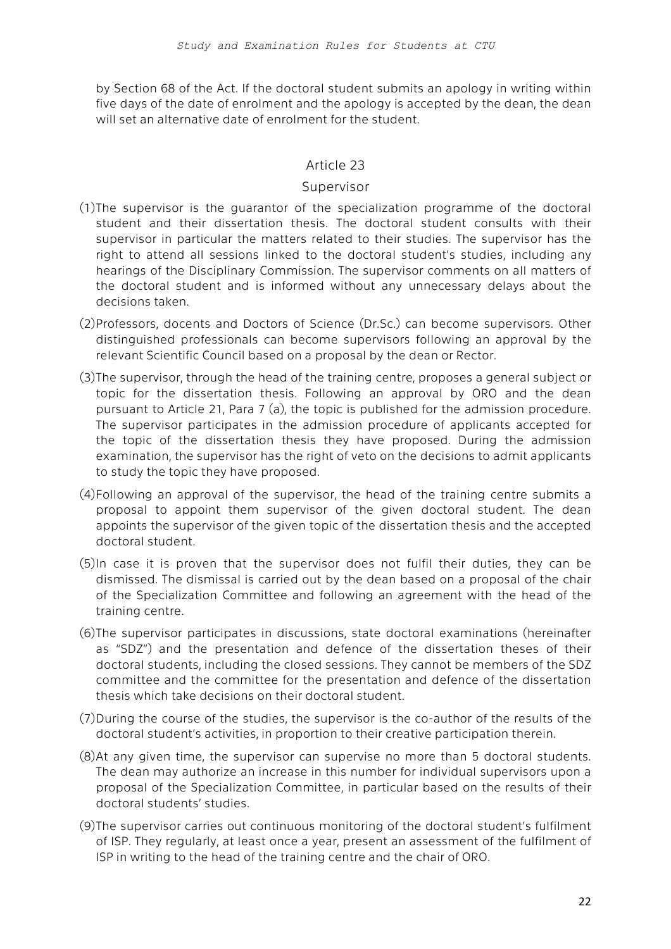by Section 68 of the Act. If the doctoral student submits an apology in writing within five days of the date of enrolment and the apology is accepted by the dean, the dean will set an alternative date of enrolment for the student.

### Article 23

#### Supervisor

- (1)The supervisor is the guarantor of the specialization programme of the doctoral student and their dissertation thesis. The doctoral student consults with their supervisor in particular the matters related to their studies. The supervisor has the right to attend all sessions linked to the doctoral student's studies, including any hearings of the Disciplinary Commission. The supervisor comments on all matters of the doctoral student and is informed without any unnecessary delays about the decisions taken.
- (2)Professors, docents and Doctors of Science (Dr.Sc.) can become supervisors. Other distinguished professionals can become supervisors following an approval by the relevant Scientific Council based on a proposal by the dean or Rector.
- (3)The supervisor, through the head of the training centre, proposes a general subject or topic for the dissertation thesis. Following an approval by ORO and the dean pursuant to Article 21, Para 7 (a), the topic is published for the admission procedure. The supervisor participates in the admission procedure of applicants accepted for the topic of the dissertation thesis they have proposed. During the admission examination, the supervisor has the right of veto on the decisions to admit applicants to study the topic they have proposed.
- (4)Following an approval of the supervisor, the head of the training centre submits a proposal to appoint them supervisor of the given doctoral student. The dean appoints the supervisor of the given topic of the dissertation thesis and the accepted doctoral student.
- (5)In case it is proven that the supervisor does not fulfil their duties, they can be dismissed. The dismissal is carried out by the dean based on a proposal of the chair of the Specialization Committee and following an agreement with the head of the training centre.
- (6)The supervisor participates in discussions, state doctoral examinations (hereinafter as "SDZ") and the presentation and defence of the dissertation theses of their doctoral students, including the closed sessions. They cannot be members of the SDZ committee and the committee for the presentation and defence of the dissertation thesis which take decisions on their doctoral student.
- (7)During the course of the studies, the supervisor is the co-author of the results of the doctoral student's activities, in proportion to their creative participation therein.
- (8)At any given time, the supervisor can supervise no more than 5 doctoral students. The dean may authorize an increase in this number for individual supervisors upon a proposal of the Specialization Committee, in particular based on the results of their doctoral students' studies.
- (9)The supervisor carries out continuous monitoring of the doctoral student's fulfilment of ISP. They regularly, at least once a year, present an assessment of the fulfilment of ISP in writing to the head of the training centre and the chair of ORO.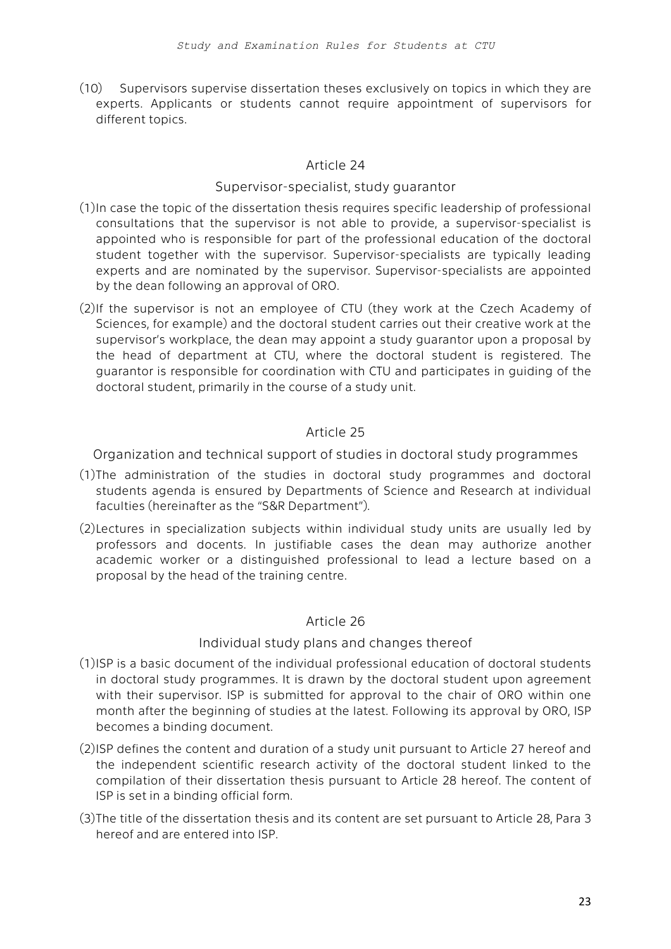(10) Supervisors supervise dissertation theses exclusively on topics in which they are experts. Applicants or students cannot require appointment of supervisors for different topics.

# Article 24

### Supervisor-specialist, study guarantor

- (1)In case the topic of the dissertation thesis requires specific leadership of professional consultations that the supervisor is not able to provide, a supervisor-specialist is appointed who is responsible for part of the professional education of the doctoral student together with the supervisor. Supervisor-specialists are typically leading experts and are nominated by the supervisor. Supervisor-specialists are appointed by the dean following an approval of ORO.
- (2)If the supervisor is not an employee of CTU (they work at the Czech Academy of Sciences, for example) and the doctoral student carries out their creative work at the supervisor's workplace, the dean may appoint a study guarantor upon a proposal by the head of department at CTU, where the doctoral student is registered. The guarantor is responsible for coordination with CTU and participates in guiding of the doctoral student, primarily in the course of a study unit.

# Article 25

Organization and technical support of studies in doctoral study programmes

- (1)The administration of the studies in doctoral study programmes and doctoral students agenda is ensured by Departments of Science and Research at individual faculties (hereinafter as the "S&R Department").
- (2)Lectures in specialization subjects within individual study units are usually led by professors and docents. In justifiable cases the dean may authorize another academic worker or a distinguished professional to lead a lecture based on a proposal by the head of the training centre.

# Article 26

# Individual study plans and changes thereof

- (1)ISP is a basic document of the individual professional education of doctoral students in doctoral study programmes. It is drawn by the doctoral student upon agreement with their supervisor. ISP is submitted for approval to the chair of ORO within one month after the beginning of studies at the latest. Following its approval by ORO, ISP becomes a binding document.
- (2)ISP defines the content and duration of a study unit pursuant to Article 27 hereof and the independent scientific research activity of the doctoral student linked to the compilation of their dissertation thesis pursuant to Article 28 hereof. The content of ISP is set in a binding official form.
- (3)The title of the dissertation thesis and its content are set pursuant to Article 28, Para 3 hereof and are entered into ISP.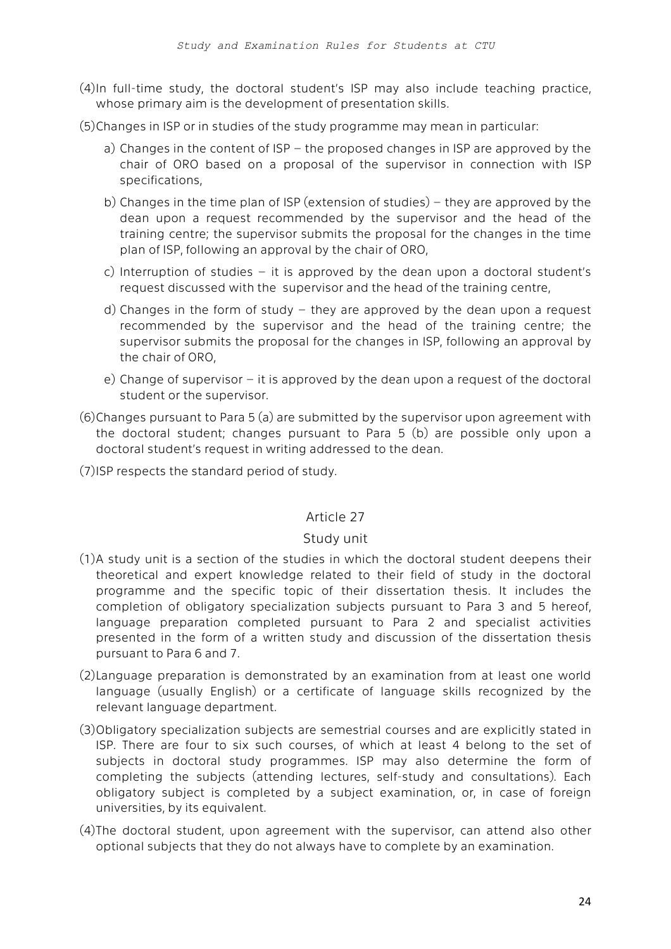- (4)In full-time study, the doctoral student's ISP may also include teaching practice, whose primary aim is the development of presentation skills.
- (5)Changes in ISP or in studies of the study programme may mean in particular:
	- a) Changes in the content of ISP the proposed changes in ISP are approved by the chair of ORO based on a proposal of the supervisor in connection with ISP specifications,
	- b) Changes in the time plan of ISP (extension of studies) they are approved by the dean upon a request recommended by the supervisor and the head of the training centre; the supervisor submits the proposal for the changes in the time plan of ISP, following an approval by the chair of ORO,
	- c) Interruption of studies it is approved by the dean upon a doctoral student's request discussed with the supervisor and the head of the training centre,
	- d) Changes in the form of study they are approved by the dean upon a request recommended by the supervisor and the head of the training centre; the supervisor submits the proposal for the changes in ISP, following an approval by the chair of ORO,
	- e) Change of supervisor it is approved by the dean upon a request of the doctoral student or the supervisor.
- (6)Changes pursuant to Para 5 (a) are submitted by the supervisor upon agreement with the doctoral student; changes pursuant to Para 5 (b) are possible only upon a doctoral student's request in writing addressed to the dean.
- (7)ISP respects the standard period of study.

# Article 27

# Study unit

- (1)A study unit is a section of the studies in which the doctoral student deepens their theoretical and expert knowledge related to their field of study in the doctoral programme and the specific topic of their dissertation thesis. It includes the completion of obligatory specialization subjects pursuant to Para 3 and 5 hereof, language preparation completed pursuant to Para 2 and specialist activities presented in the form of a written study and discussion of the dissertation thesis pursuant to Para 6 and 7.
- (2)Language preparation is demonstrated by an examination from at least one world language (usually English) or a certificate of language skills recognized by the relevant language department.
- (3)Obligatory specialization subjects are semestrial courses and are explicitly stated in ISP. There are four to six such courses, of which at least 4 belong to the set of subjects in doctoral study programmes. ISP may also determine the form of completing the subjects (attending lectures, self-study and consultations). Each obligatory subject is completed by a subject examination, or, in case of foreign universities, by its equivalent.
- (4)The doctoral student, upon agreement with the supervisor, can attend also other optional subjects that they do not always have to complete by an examination.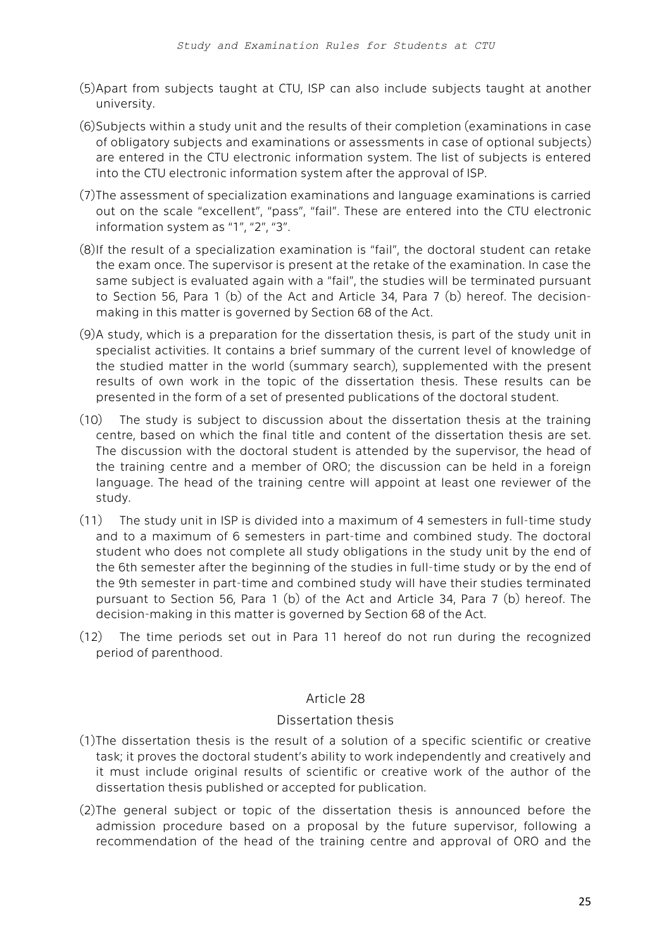- (5)Apart from subjects taught at CTU, ISP can also include subjects taught at another university.
- (6)Subjects within a study unit and the results of their completion (examinations in case of obligatory subjects and examinations or assessments in case of optional subjects) are entered in the CTU electronic information system. The list of subjects is entered into the CTU electronic information system after the approval of ISP.
- (7)The assessment of specialization examinations and language examinations is carried out on the scale "excellent", "pass", "fail". These are entered into the CTU electronic information system as "1", "2", "3".
- (8)If the result of a specialization examination is "fail", the doctoral student can retake the exam once. The supervisor is present at the retake of the examination. In case the same subject is evaluated again with a "fail", the studies will be terminated pursuant to Section 56, Para 1 (b) of the Act and Article 34, Para 7 (b) hereof. The decisionmaking in this matter is governed by Section 68 of the Act.
- (9)A study, which is a preparation for the dissertation thesis, is part of the study unit in specialist activities. It contains a brief summary of the current level of knowledge of the studied matter in the world (summary search), supplemented with the present results of own work in the topic of the dissertation thesis. These results can be presented in the form of a set of presented publications of the doctoral student.
- (10) The study is subject to discussion about the dissertation thesis at the training centre, based on which the final title and content of the dissertation thesis are set. The discussion with the doctoral student is attended by the supervisor, the head of the training centre and a member of ORO; the discussion can be held in a foreign language. The head of the training centre will appoint at least one reviewer of the study.
- (11) The study unit in ISP is divided into a maximum of 4 semesters in full-time study and to a maximum of 6 semesters in part-time and combined study. The doctoral student who does not complete all study obligations in the study unit by the end of the 6th semester after the beginning of the studies in full-time study or by the end of the 9th semester in part-time and combined study will have their studies terminated pursuant to Section 56, Para 1 (b) of the Act and Article 34, Para 7 (b) hereof. The decision-making in this matter is governed by Section 68 of the Act.
- (12) The time periods set out in Para 11 hereof do not run during the recognized period of parenthood.

# Article 28

# Dissertation thesis

- (1)The dissertation thesis is the result of a solution of a specific scientific or creative task; it proves the doctoral student's ability to work independently and creatively and it must include original results of scientific or creative work of the author of the dissertation thesis published or accepted for publication.
- (2)The general subject or topic of the dissertation thesis is announced before the admission procedure based on a proposal by the future supervisor, following a recommendation of the head of the training centre and approval of ORO and the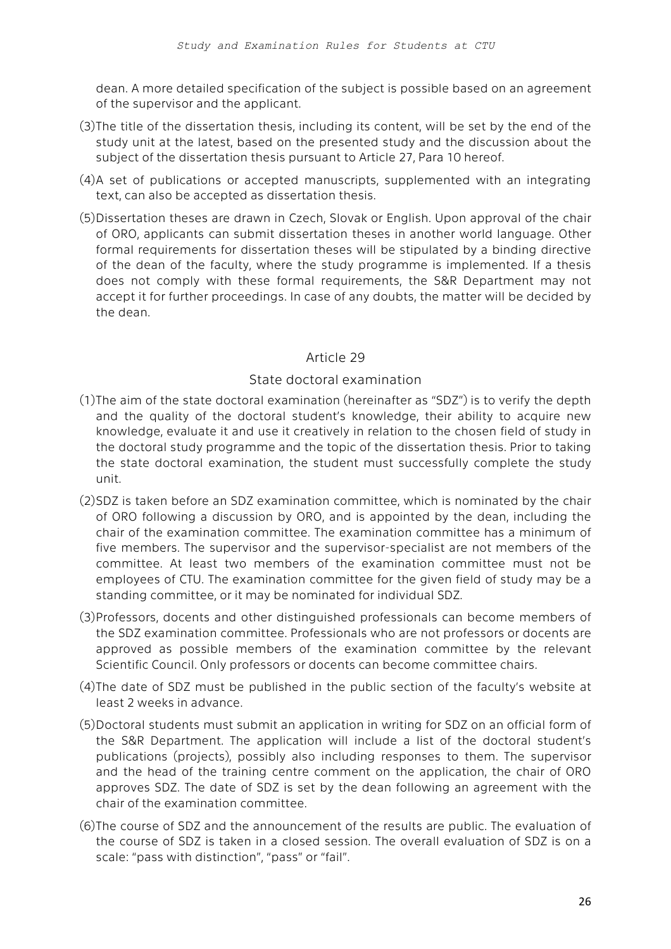dean. A more detailed specification of the subject is possible based on an agreement of the supervisor and the applicant.

- (3)The title of the dissertation thesis, including its content, will be set by the end of the study unit at the latest, based on the presented study and the discussion about the subject of the dissertation thesis pursuant to Article 27, Para 10 hereof.
- (4)A set of publications or accepted manuscripts, supplemented with an integrating text, can also be accepted as dissertation thesis.
- (5)Dissertation theses are drawn in Czech, Slovak or English. Upon approval of the chair of ORO, applicants can submit dissertation theses in another world language. Other formal requirements for dissertation theses will be stipulated by a binding directive of the dean of the faculty, where the study programme is implemented. If a thesis does not comply with these formal requirements, the S&R Department may not accept it for further proceedings. In case of any doubts, the matter will be decided by the dean.

# Article 29

### State doctoral examination

- (1)The aim of the state doctoral examination (hereinafter as "SDZ") is to verify the depth and the quality of the doctoral student's knowledge, their ability to acquire new knowledge, evaluate it and use it creatively in relation to the chosen field of study in the doctoral study programme and the topic of the dissertation thesis. Prior to taking the state doctoral examination, the student must successfully complete the study unit.
- (2)SDZ is taken before an SDZ examination committee, which is nominated by the chair of ORO following a discussion by ORO, and is appointed by the dean, including the chair of the examination committee. The examination committee has a minimum of five members. The supervisor and the supervisor-specialist are not members of the committee. At least two members of the examination committee must not be employees of CTU. The examination committee for the given field of study may be a standing committee, or it may be nominated for individual SDZ.
- (3)Professors, docents and other distinguished professionals can become members of the SDZ examination committee. Professionals who are not professors or docents are approved as possible members of the examination committee by the relevant Scientific Council. Only professors or docents can become committee chairs.
- (4)The date of SDZ must be published in the public section of the faculty's website at least 2 weeks in advance.
- (5)Doctoral students must submit an application in writing for SDZ on an official form of the S&R Department. The application will include a list of the doctoral student's publications (projects), possibly also including responses to them. The supervisor and the head of the training centre comment on the application, the chair of ORO approves SDZ. The date of SDZ is set by the dean following an agreement with the chair of the examination committee.
- (6)The course of SDZ and the announcement of the results are public. The evaluation of the course of SDZ is taken in a closed session. The overall evaluation of SDZ is on a scale: "pass with distinction", "pass" or "fail".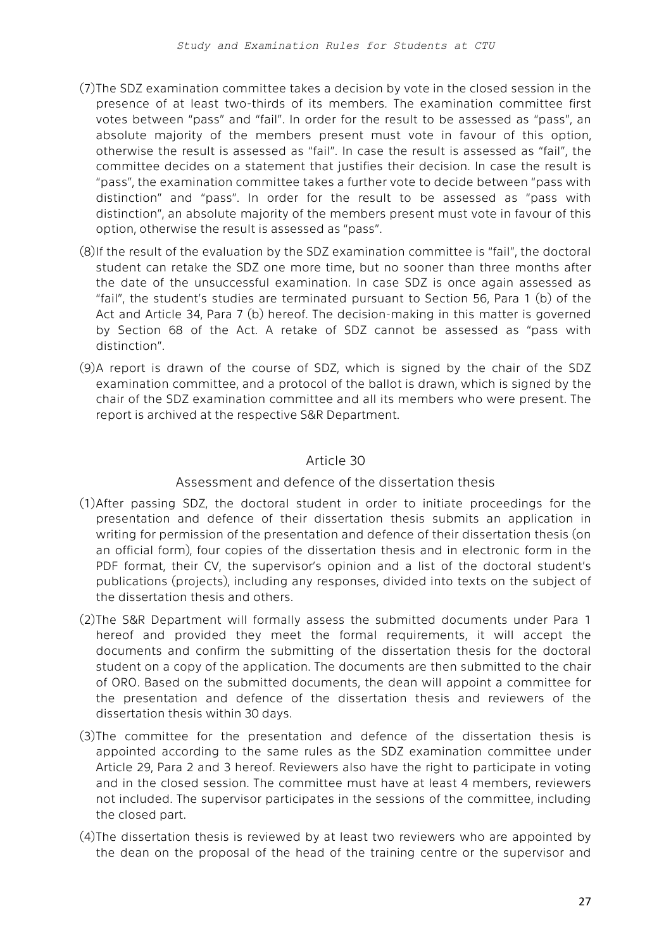- (7)The SDZ examination committee takes a decision by vote in the closed session in the presence of at least two-thirds of its members. The examination committee first votes between "pass" and "fail". In order for the result to be assessed as "pass", an absolute majority of the members present must vote in favour of this option, otherwise the result is assessed as "fail". In case the result is assessed as "fail", the committee decides on a statement that justifies their decision. In case the result is "pass", the examination committee takes a further vote to decide between "pass with distinction" and "pass". In order for the result to be assessed as "pass with distinction", an absolute majority of the members present must vote in favour of this option, otherwise the result is assessed as "pass".
- (8)If the result of the evaluation by the SDZ examination committee is "fail", the doctoral student can retake the SDZ one more time, but no sooner than three months after the date of the unsuccessful examination. In case SDZ is once again assessed as "fail", the student's studies are terminated pursuant to Section 56, Para 1 (b) of the Act and Article 34, Para 7 (b) hereof. The decision-making in this matter is governed by Section 68 of the Act. A retake of SDZ cannot be assessed as "pass with distinction".
- (9)A report is drawn of the course of SDZ, which is signed by the chair of the SDZ examination committee, and a protocol of the ballot is drawn, which is signed by the chair of the SDZ examination committee and all its members who were present. The report is archived at the respective S&R Department.

# Article 30

# Assessment and defence of the dissertation thesis

- (1)After passing SDZ, the doctoral student in order to initiate proceedings for the presentation and defence of their dissertation thesis submits an application in writing for permission of the presentation and defence of their dissertation thesis (on an official form), four copies of the dissertation thesis and in electronic form in the PDF format, their CV, the supervisor's opinion and a list of the doctoral student's publications (projects), including any responses, divided into texts on the subject of the dissertation thesis and others.
- (2)The S&R Department will formally assess the submitted documents under Para 1 hereof and provided they meet the formal requirements, it will accept the documents and confirm the submitting of the dissertation thesis for the doctoral student on a copy of the application. The documents are then submitted to the chair of ORO. Based on the submitted documents, the dean will appoint a committee for the presentation and defence of the dissertation thesis and reviewers of the dissertation thesis within 30 days.
- (3)The committee for the presentation and defence of the dissertation thesis is appointed according to the same rules as the SDZ examination committee under Article 29, Para 2 and 3 hereof. Reviewers also have the right to participate in voting and in the closed session. The committee must have at least 4 members, reviewers not included. The supervisor participates in the sessions of the committee, including the closed part.
- (4)The dissertation thesis is reviewed by at least two reviewers who are appointed by the dean on the proposal of the head of the training centre or the supervisor and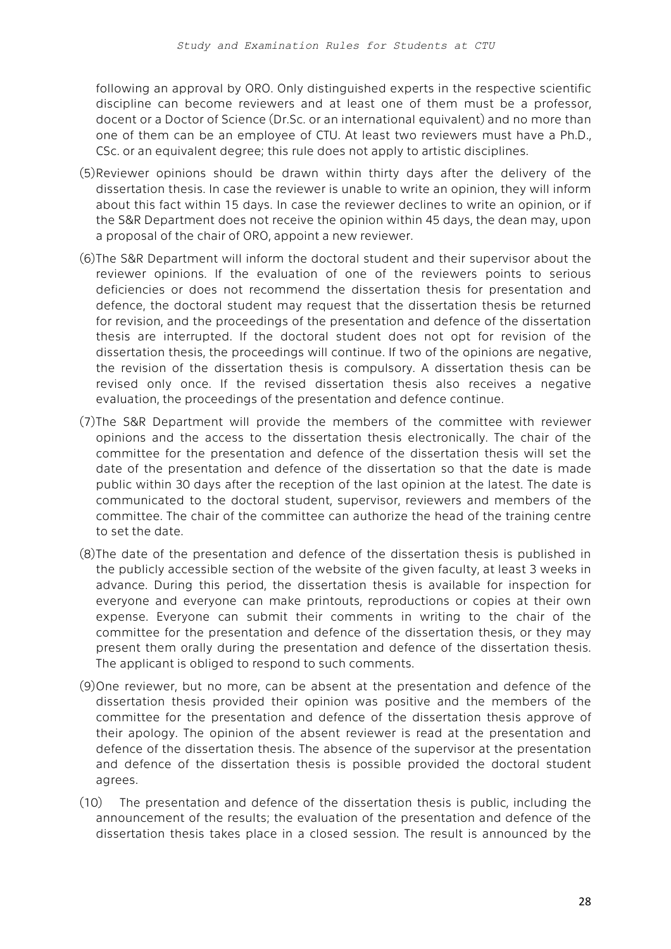following an approval by ORO. Only distinguished experts in the respective scientific discipline can become reviewers and at least one of them must be a professor, docent or a Doctor of Science (Dr.Sc. or an international equivalent) and no more than one of them can be an employee of CTU. At least two reviewers must have a Ph.D., CSc. or an equivalent degree; this rule does not apply to artistic disciplines.

- (5)Reviewer opinions should be drawn within thirty days after the delivery of the dissertation thesis. In case the reviewer is unable to write an opinion, they will inform about this fact within 15 days. In case the reviewer declines to write an opinion, or if the S&R Department does not receive the opinion within 45 days, the dean may, upon a proposal of the chair of ORO, appoint a new reviewer.
- (6)The S&R Department will inform the doctoral student and their supervisor about the reviewer opinions. If the evaluation of one of the reviewers points to serious deficiencies or does not recommend the dissertation thesis for presentation and defence, the doctoral student may request that the dissertation thesis be returned for revision, and the proceedings of the presentation and defence of the dissertation thesis are interrupted. If the doctoral student does not opt for revision of the dissertation thesis, the proceedings will continue. If two of the opinions are negative, the revision of the dissertation thesis is compulsory. A dissertation thesis can be revised only once. If the revised dissertation thesis also receives a negative evaluation, the proceedings of the presentation and defence continue.
- (7)The S&R Department will provide the members of the committee with reviewer opinions and the access to the dissertation thesis electronically. The chair of the committee for the presentation and defence of the dissertation thesis will set the date of the presentation and defence of the dissertation so that the date is made public within 30 days after the reception of the last opinion at the latest. The date is communicated to the doctoral student, supervisor, reviewers and members of the committee. The chair of the committee can authorize the head of the training centre to set the date.
- (8)The date of the presentation and defence of the dissertation thesis is published in the publicly accessible section of the website of the given faculty, at least 3 weeks in advance. During this period, the dissertation thesis is available for inspection for everyone and everyone can make printouts, reproductions or copies at their own expense. Everyone can submit their comments in writing to the chair of the committee for the presentation and defence of the dissertation thesis, or they may present them orally during the presentation and defence of the dissertation thesis. The applicant is obliged to respond to such comments.
- (9)One reviewer, but no more, can be absent at the presentation and defence of the dissertation thesis provided their opinion was positive and the members of the committee for the presentation and defence of the dissertation thesis approve of their apology. The opinion of the absent reviewer is read at the presentation and defence of the dissertation thesis. The absence of the supervisor at the presentation and defence of the dissertation thesis is possible provided the doctoral student agrees.
- (10) The presentation and defence of the dissertation thesis is public, including the announcement of the results; the evaluation of the presentation and defence of the dissertation thesis takes place in a closed session. The result is announced by the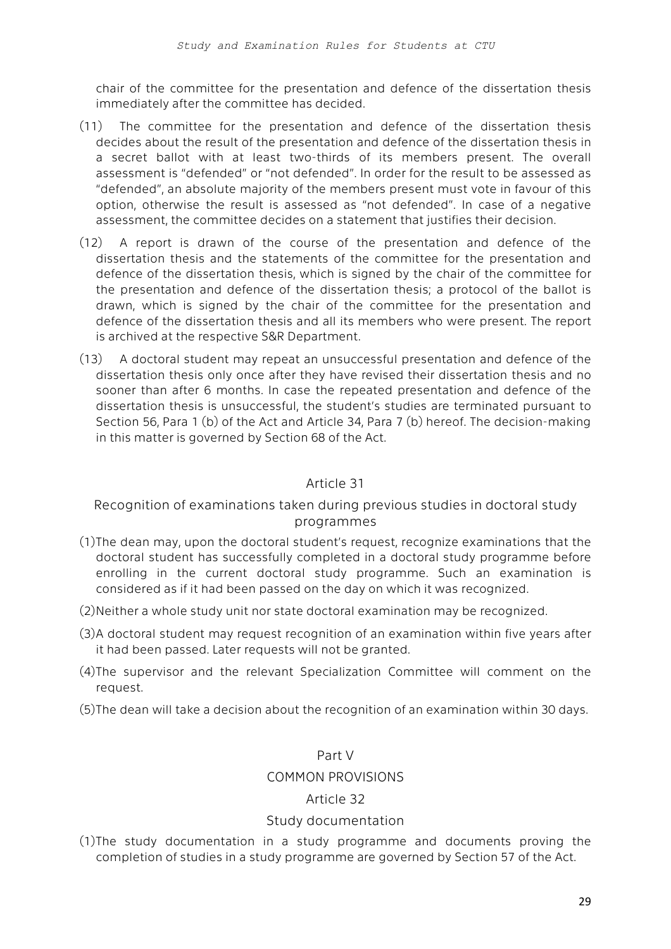chair of the committee for the presentation and defence of the dissertation thesis immediately after the committee has decided.

- (11) The committee for the presentation and defence of the dissertation thesis decides about the result of the presentation and defence of the dissertation thesis in a secret ballot with at least two-thirds of its members present. The overall assessment is "defended" or "not defended". In order for the result to be assessed as "defended", an absolute majority of the members present must vote in favour of this option, otherwise the result is assessed as "not defended". In case of a negative assessment, the committee decides on a statement that justifies their decision.
- (12) A report is drawn of the course of the presentation and defence of the dissertation thesis and the statements of the committee for the presentation and defence of the dissertation thesis, which is signed by the chair of the committee for the presentation and defence of the dissertation thesis; a protocol of the ballot is drawn, which is signed by the chair of the committee for the presentation and defence of the dissertation thesis and all its members who were present. The report is archived at the respective S&R Department.
- (13) A doctoral student may repeat an unsuccessful presentation and defence of the dissertation thesis only once after they have revised their dissertation thesis and no sooner than after 6 months. In case the repeated presentation and defence of the dissertation thesis is unsuccessful, the student's studies are terminated pursuant to Section 56, Para 1 (b) of the Act and Article 34, Para 7 (b) hereof. The decision-making in this matter is governed by Section 68 of the Act.

# Article 31

# Recognition of examinations taken during previous studies in doctoral study programmes

- (1)The dean may, upon the doctoral student's request, recognize examinations that the doctoral student has successfully completed in a doctoral study programme before enrolling in the current doctoral study programme. Such an examination is considered as if it had been passed on the day on which it was recognized.
- (2)Neither a whole study unit nor state doctoral examination may be recognized.
- (3)A doctoral student may request recognition of an examination within five years after it had been passed. Later requests will not be granted.
- (4)The supervisor and the relevant Specialization Committee will comment on the request.
- (5)The dean will take a decision about the recognition of an examination within 30 days.

#### Part V

#### COMMON PROVISIONS

#### Article 32

#### Study documentation

(1)The study documentation in a study programme and documents proving the completion of studies in a study programme are governed by Section 57 of the Act.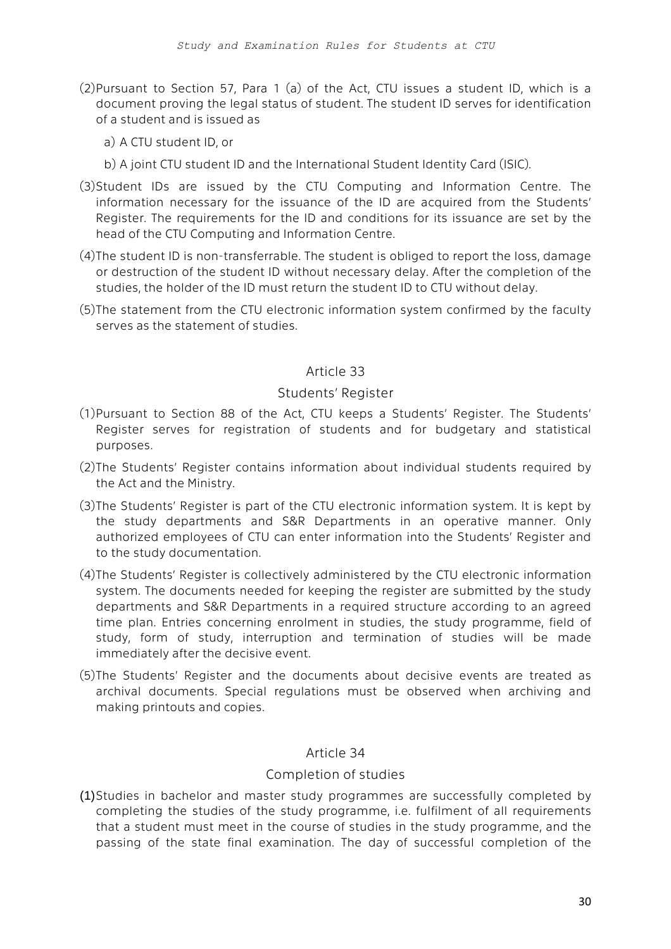- (2)Pursuant to Section 57, Para 1 (a) of the Act, CTU issues a student ID, which is a document proving the legal status of student. The student ID serves for identification of a student and is issued as
	- a) A CTU student ID, or
	- b) A joint CTU student ID and the International Student Identity Card (ISIC).
- (3)Student IDs are issued by the CTU Computing and Information Centre. The information necessary for the issuance of the ID are acquired from the Students' Register. The requirements for the ID and conditions for its issuance are set by the head of the CTU Computing and Information Centre.
- (4)The student ID is non-transferrable. The student is obliged to report the loss, damage or destruction of the student ID without necessary delay. After the completion of the studies, the holder of the ID must return the student ID to CTU without delay.
- (5)The statement from the CTU electronic information system confirmed by the faculty serves as the statement of studies.

### Article 33

#### Students' Register

- (1)Pursuant to Section 88 of the Act, CTU keeps a Students' Register. The Students' Register serves for registration of students and for budgetary and statistical purposes.
- (2)The Students' Register contains information about individual students required by the Act and the Ministry.
- (3)The Students' Register is part of the CTU electronic information system. It is kept by the study departments and S&R Departments in an operative manner. Only authorized employees of CTU can enter information into the Students' Register and to the study documentation.
- (4)The Students' Register is collectively administered by the CTU electronic information system. The documents needed for keeping the register are submitted by the study departments and S&R Departments in a required structure according to an agreed time plan. Entries concerning enrolment in studies, the study programme, field of study, form of study, interruption and termination of studies will be made immediately after the decisive event.
- (5)The Students' Register and the documents about decisive events are treated as archival documents. Special regulations must be observed when archiving and making printouts and copies.

#### Article 34

#### Completion of studies

(1)Studies in bachelor and master study programmes are successfully completed by completing the studies of the study programme, i.e. fulfilment of all requirements that a student must meet in the course of studies in the study programme, and the passing of the state final examination. The day of successful completion of the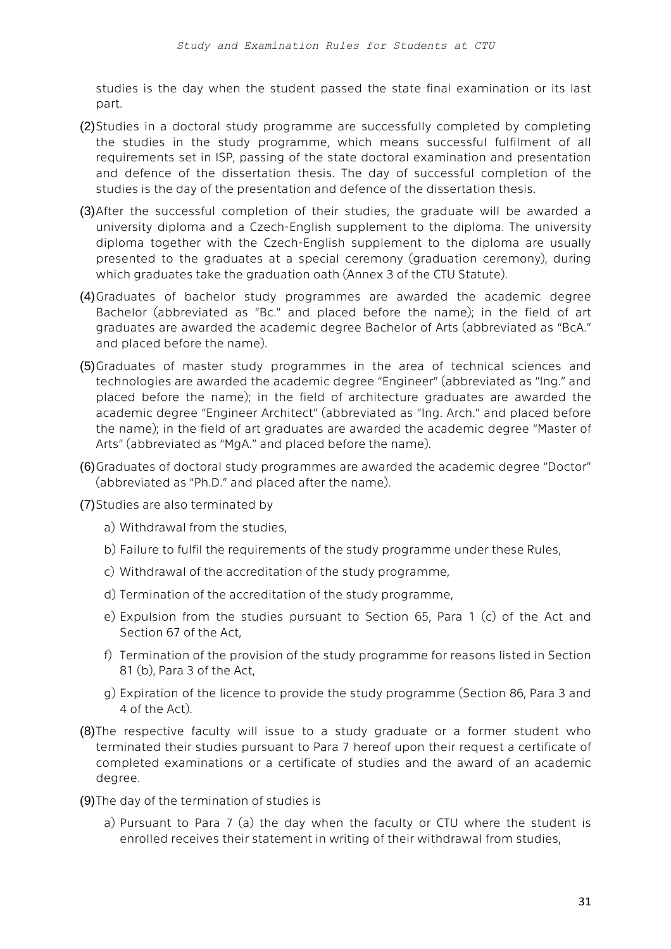studies is the day when the student passed the state final examination or its last part.

- (2)Studies in a doctoral study programme are successfully completed by completing the studies in the study programme, which means successful fulfilment of all requirements set in ISP, passing of the state doctoral examination and presentation and defence of the dissertation thesis. The day of successful completion of the studies is the day of the presentation and defence of the dissertation thesis.
- (3)After the successful completion of their studies, the graduate will be awarded a university diploma and a Czech-English supplement to the diploma. The university diploma together with the Czech-English supplement to the diploma are usually presented to the graduates at a special ceremony (graduation ceremony), during which graduates take the graduation oath (Annex 3 of the CTU Statute).
- (4)Graduates of bachelor study programmes are awarded the academic degree Bachelor (abbreviated as "Bc." and placed before the name); in the field of art graduates are awarded the academic degree Bachelor of Arts (abbreviated as "BcA." and placed before the name).
- (5)Graduates of master study programmes in the area of technical sciences and technologies are awarded the academic degree "Engineer" (abbreviated as "Ing." and placed before the name); in the field of architecture graduates are awarded the academic degree "Engineer Architect" (abbreviated as "Ing. Arch." and placed before the name); in the field of art graduates are awarded the academic degree "Master of Arts" (abbreviated as "MgA." and placed before the name).
- (6)Graduates of doctoral study programmes are awarded the academic degree "Doctor" (abbreviated as "Ph.D." and placed after the name).
- (7)Studies are also terminated by
	- a) Withdrawal from the studies,
	- b) Failure to fulfil the requirements of the study programme under these Rules,
	- c) Withdrawal of the accreditation of the study programme,
	- d) Termination of the accreditation of the study programme,
	- e) Expulsion from the studies pursuant to Section 65, Para 1 (c) of the Act and Section 67 of the Act,
	- f) Termination of the provision of the study programme for reasons listed in Section 81 (b), Para 3 of the Act,
	- g) Expiration of the licence to provide the study programme (Section 86, Para 3 and 4 of the Act).
- (8)The respective faculty will issue to a study graduate or a former student who terminated their studies pursuant to Para 7 hereof upon their request a certificate of completed examinations or a certificate of studies and the award of an academic degree.
- (9)The day of the termination of studies is
	- a) Pursuant to Para 7 (a) the day when the faculty or CTU where the student is enrolled receives their statement in writing of their withdrawal from studies,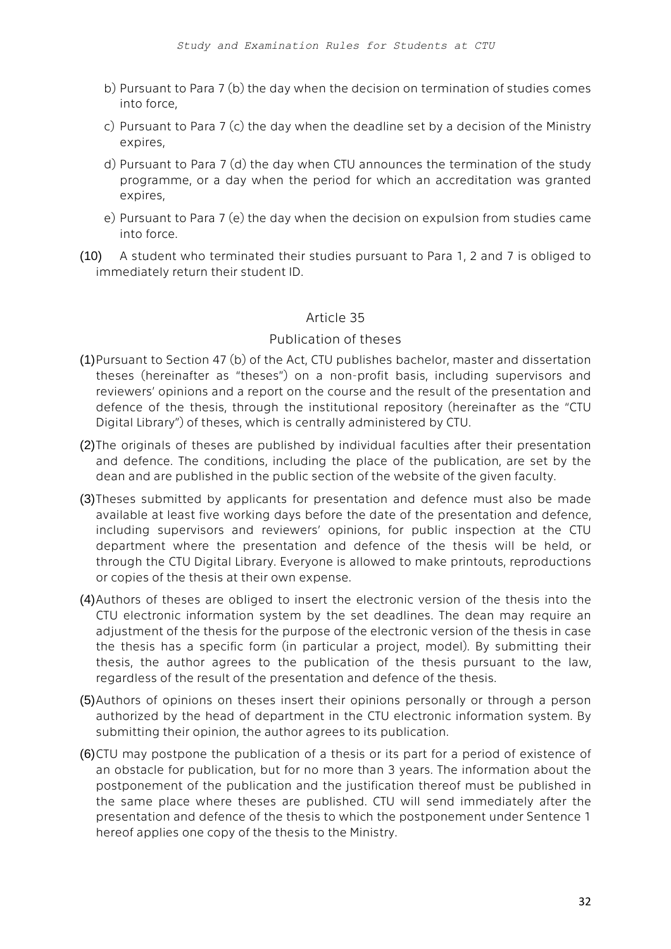- b) Pursuant to Para 7 (b) the day when the decision on termination of studies comes into force,
- c) Pursuant to Para 7 (c) the day when the deadline set by a decision of the Ministry expires,
- d) Pursuant to Para 7 (d) the day when CTU announces the termination of the study programme, or a day when the period for which an accreditation was granted expires,
- e) Pursuant to Para 7 (e) the day when the decision on expulsion from studies came into force.
- (10) A student who terminated their studies pursuant to Para 1, 2 and 7 is obliged to immediately return their student ID.

# Article 35

### Publication of theses

- (1)Pursuant to Section 47 (b) of the Act, CTU publishes bachelor, master and dissertation theses (hereinafter as "theses") on a non-profit basis, including supervisors and reviewers' opinions and a report on the course and the result of the presentation and defence of the thesis, through the institutional repository (hereinafter as the "CTU Digital Library") of theses, which is centrally administered by CTU.
- (2)The originals of theses are published by individual faculties after their presentation and defence. The conditions, including the place of the publication, are set by the dean and are published in the public section of the website of the given faculty.
- (3)Theses submitted by applicants for presentation and defence must also be made available at least five working days before the date of the presentation and defence, including supervisors and reviewers' opinions, for public inspection at the CTU department where the presentation and defence of the thesis will be held, or through the CTU Digital Library. Everyone is allowed to make printouts, reproductions or copies of the thesis at their own expense.
- (4)Authors of theses are obliged to insert the electronic version of the thesis into the CTU electronic information system by the set deadlines. The dean may require an adjustment of the thesis for the purpose of the electronic version of the thesis in case the thesis has a specific form (in particular a project, model). By submitting their thesis, the author agrees to the publication of the thesis pursuant to the law, regardless of the result of the presentation and defence of the thesis.
- (5)Authors of opinions on theses insert their opinions personally or through a person authorized by the head of department in the CTU electronic information system. By submitting their opinion, the author agrees to its publication.
- (6)CTU may postpone the publication of a thesis or its part for a period of existence of an obstacle for publication, but for no more than 3 years. The information about the postponement of the publication and the justification thereof must be published in the same place where theses are published. CTU will send immediately after the presentation and defence of the thesis to which the postponement under Sentence 1 hereof applies one copy of the thesis to the Ministry.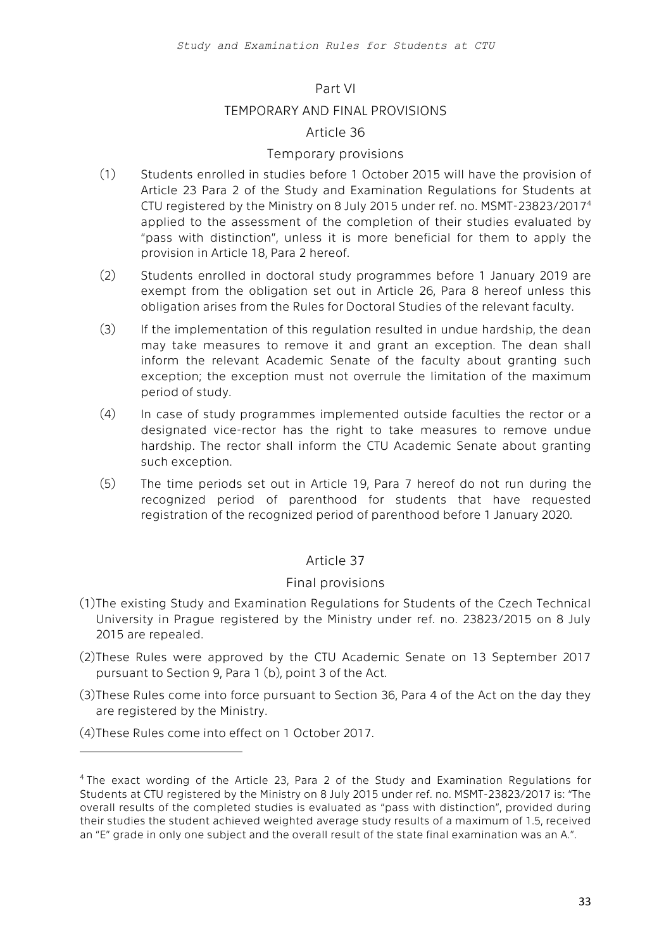#### Part VI

#### TEMPORARY AND FINAL PROVISIONS

#### Article 36

#### Temporary provisions

- (1) Students enrolled in studies before 1 October 2015 will have the provision of Article 23 Para 2 of the Study and Examination Regulations for Students at CTU registered by the Ministry on 8 July 2015 under ref. no. MSMT-23823/2017<sup>4</sup> applied to the assessment of the completion of their studies evaluated by "pass with distinction", unless it is more beneficial for them to apply the provision in Article 18, Para 2 hereof.
- (2) Students enrolled in doctoral study programmes before 1 January 2019 are exempt from the obligation set out in Article 26, Para 8 hereof unless this obligation arises from the Rules for Doctoral Studies of the relevant faculty.
- (3) If the implementation of this regulation resulted in undue hardship, the dean may take measures to remove it and grant an exception. The dean shall inform the relevant Academic Senate of the faculty about granting such exception; the exception must not overrule the limitation of the maximum period of study.
- (4) In case of study programmes implemented outside faculties the rector or a designated vice-rector has the right to take measures to remove undue hardship. The rector shall inform the CTU Academic Senate about granting such exception.
- (5) The time periods set out in Article 19, Para 7 hereof do not run during the recognized period of parenthood for students that have requested registration of the recognized period of parenthood before 1 January 2020.

#### Article 37

#### Final provisions

- (1)The existing Study and Examination Regulations for Students of the Czech Technical University in Prague registered by the Ministry under ref. no. 23823/2015 on 8 July 2015 are repealed.
- (2)These Rules were approved by the CTU Academic Senate on 13 September 2017 pursuant to Section 9, Para 1 (b), point 3 of the Act.
- (3)These Rules come into force pursuant to Section 36, Para 4 of the Act on the day they are registered by the Ministry.
- (4)These Rules come into effect on 1 October 2017.

 $\overline{a}$ 

<sup>&</sup>lt;sup>4</sup> The exact wording of the Article 23, Para 2 of the Study and Examination Regulations for Students at CTU registered by the Ministry on 8 July 2015 under ref. no. MSMT-23823/2017 is: "The overall results of the completed studies is evaluated as "pass with distinction", provided during their studies the student achieved weighted average study results of a maximum of 1.5, received an "E" grade in only one subject and the overall result of the state final examination was an A.".